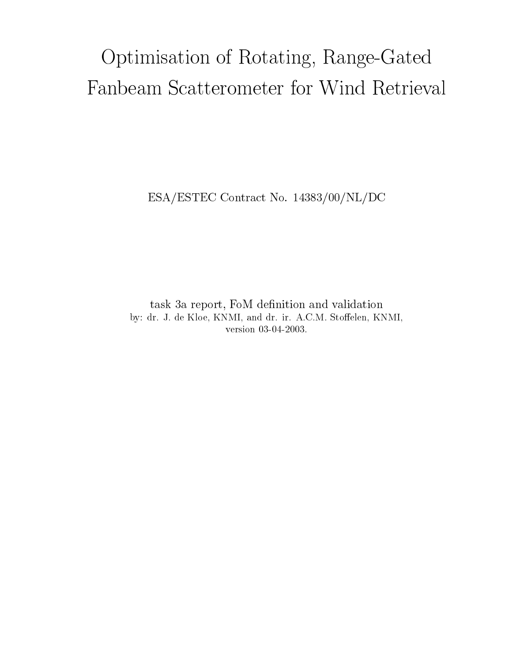# Optimisation of Rotating, Range-Gated

ESA/ESTEC Contract No. 14383/00/NL/DC

task 3a report, FoM definition and validation by: dr. J. de Kloe, KNMI, and dr. ir. A.C.M. Stoffelen, KNMI, version 03-04-2003.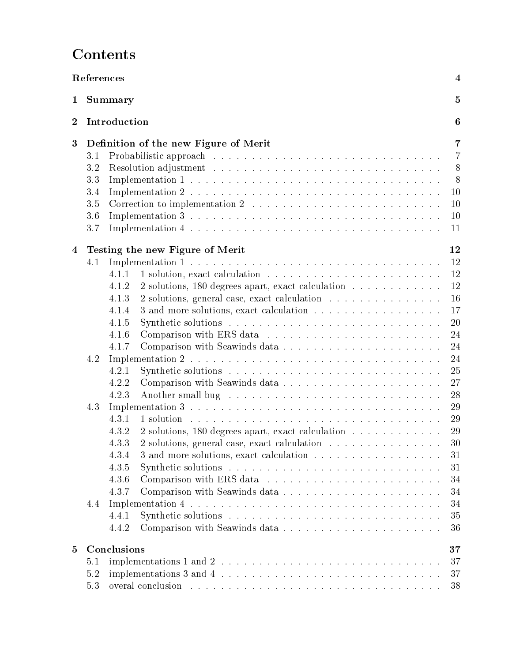# **Contents**

|                  | References                                                                                                                                                                                                                                                                                                                                                                                                                                                                                                                                                                                                                                                                                                                                                                               | $\overline{\mathbf{4}}$                                                    |
|------------------|------------------------------------------------------------------------------------------------------------------------------------------------------------------------------------------------------------------------------------------------------------------------------------------------------------------------------------------------------------------------------------------------------------------------------------------------------------------------------------------------------------------------------------------------------------------------------------------------------------------------------------------------------------------------------------------------------------------------------------------------------------------------------------------|----------------------------------------------------------------------------|
| $\mathbf 1$      | Summary                                                                                                                                                                                                                                                                                                                                                                                                                                                                                                                                                                                                                                                                                                                                                                                  | 5                                                                          |
| $\boldsymbol{2}$ | Introduction                                                                                                                                                                                                                                                                                                                                                                                                                                                                                                                                                                                                                                                                                                                                                                             | 6                                                                          |
| 3                | Definition of the new Figure of Merit<br>3.1<br>3.2<br>3.3<br>3.4<br>3.5<br>3.6<br>10<br>3.7<br>11                                                                                                                                                                                                                                                                                                                                                                                                                                                                                                                                                                                                                                                                                       | 7<br>7<br>8<br>8<br>10<br>10                                               |
| $\bf{4}$         | Testing the new Figure of Merit<br>12<br>12<br>4.1<br>4.1.1<br>4.1.2<br>2 solutions, 180 degrees apart, exact calculation<br>4.1.3<br>2 solutions, general case, exact calculation<br>17<br>4.1.4<br>4.1.5<br>4.1.6<br>4.1.7<br>4.2<br>4.2.1<br>27<br>4.2.2<br>4.2.3<br>28<br>Implementation $3 \ldots \ldots \ldots \ldots \ldots \ldots \ldots \ldots \ldots \ldots \ldots \ldots$<br>4.3<br>4.3.1<br>1 solution<br>2 solutions, 180 degrees apart, exact calculation<br>4.3.2<br>29<br>2 solutions, general case, exact calculation<br>4.3.3<br>30<br>3 and more solutions, exact calculation<br>4.3.4<br>31<br>4.3.5<br>31<br>4.3.6<br>4.3.7<br>Implementation $4 \ldots \ldots \ldots \ldots \ldots \ldots \ldots \ldots \ldots \ldots \ldots$<br>4.4<br>35<br>4.4.1<br>4.4.2<br>36 | 12<br>12<br>16<br>20<br>24<br>24<br>24<br>25<br>29<br>29<br>34<br>34<br>34 |
| $\overline{5}$   | Conclusions<br>37<br>37<br>5.1<br>5.2<br>37                                                                                                                                                                                                                                                                                                                                                                                                                                                                                                                                                                                                                                                                                                                                              |                                                                            |
|                  | overal conclusion respectively and the set of the set of the set of the set of the set of the set of the set of the set of the set of the set of the set of the set of the set of the set of the set of the set of the set of<br>5.3<br>38                                                                                                                                                                                                                                                                                                                                                                                                                                                                                                                                               |                                                                            |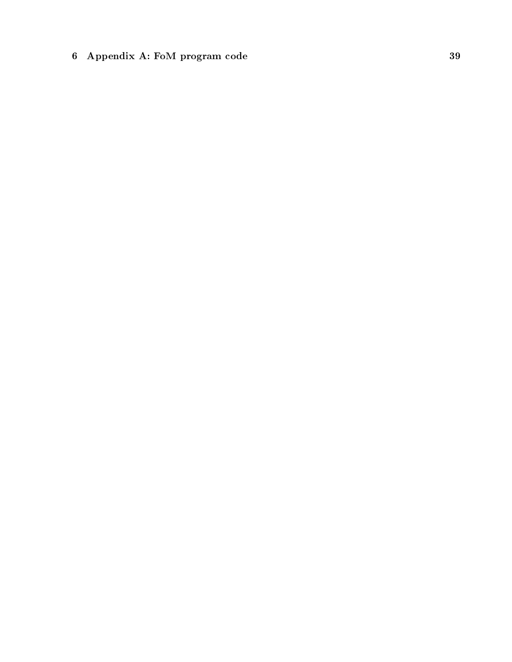## Appendix A: FoM program code 39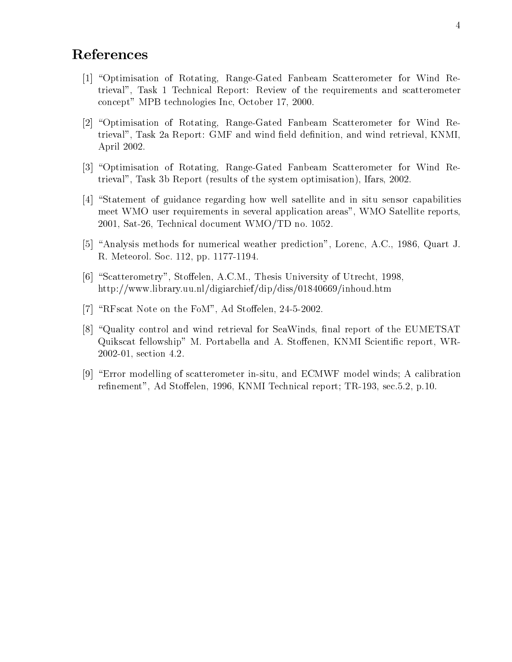## References

- [1] "Optimisation of Rotating, Range-Gated Fanbeam Scatterometer for Wind Retrieval", Task 1 Technical Report: Review of the requirements and scatterometer concept" MPB technologies Inc, October 17, 2000.
- [2] "Optimisation of Rotating, Range-Gated Fanbeam Scatterometer for Wind Retrieval", Task 2a Report: GMF and wind field definition, and wind retrieval, KNMI, April 2002.
- [3] "Optimisation of Rotating, Range-Gated Fanbeam Scatterometer for Wind Retrieval", Task 3b Report (results of the system optimisation), Ifars, 2002.
- $[4]$  "Statement of guidance regarding how well satellite and in situ sensor capabilities meet WMO user requirements in several application areas", WMO Satellite reports, 2001, Sat-26, Technical document WMO/TD no. 1052.
- [5] "Analysis methods for numerical weather prediction", Lorenc, A.C., 1986, Quart J. R. Meteorol. Soc. 112, pp. 1177-1194.
- [6] "Scatterometry", Stoffelen, A.C.M., Thesis University of Utrecht, 1998, http://www.library.uu.nl/digiarchief/dip/diss/01840669/inhoud.htm
- [7] "RFscat Note on the FoM", Ad Stoffelen,  $24-5-2002$ .
- [8] "Quality control and wind retrieval for SeaWinds, final report of the EUMETSAT Quikscat fellowship" M. Portabella and A. Stoffenen, KNMI Scientific report, WR-2002-01, section 4.2.
- [9] \Error modelling of scatterometer in-situ, and ECMWF model winds; A calibration refinement", Ad Stoffelen, 1996, KNMI Technical report; TR-193, sec.5.2, p.10.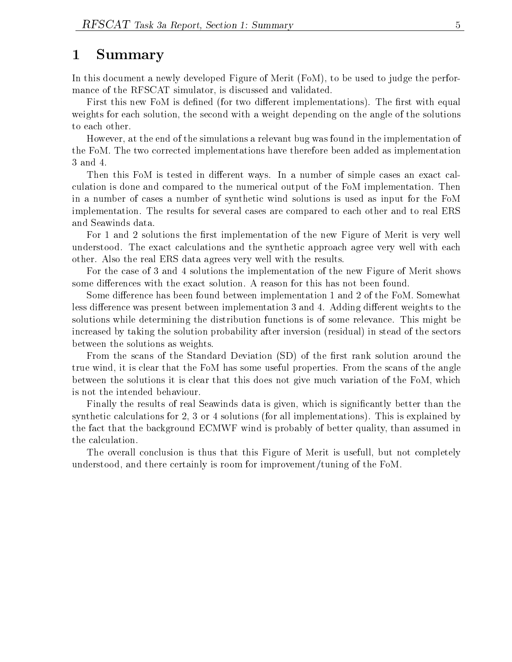## 1 Summary

In this document a newly developed Figure of Merit (FoM), to be used to judge the performance of the RFSCAT simulator, is discussed and validated.

First this new FoM is defined (for two different implementations). The first with equal weights for each solution, the second with a weight depending on the angle of the solutions to each other.

However, at the end of the simulations a relevant bug was found in the implementation of the FoM. The two corrected implementations have therefore been added as implementation 3 and 4.

Then this FoM is tested in different ways. In a number of simple cases an exact calculation is done and compared to the numerical output of the FoM implementation. Then in a number of cases a number of synthetic wind solutions is used as input for the FoM implementation. The results for several cases are compared to each other and to real ERS and Seawinds data.

For 1 and 2 solutions the first implementation of the new Figure of Merit is very well understood. The exact calculations and the synthetic approach agree very well with each other. Also the real ERS data agrees very well with the results.

For the case of 3 and 4 solutions the implementation of the new Figure of Merit shows some differences with the exact solution. A reason for this has not been found.

Some difference has been found between implementation 1 and 2 of the FoM. Somewhat less difference was present between implementation 3 and 4. Adding different weights to the solutions while determining the distribution functions is of some relevance. This might be increased by taking the solution probability after inversion (residual) in stead of the sectors between the solutions as weights.

From the scans of the Standard Deviation (SD) of the first rank solution around the true wind, it is clear that the FoM has some useful properties. From the scans of the angle between the solutions it is clear that this does not give much variation of the FoM, which is not the intended behaviour.

Finally the results of real Seawinds data is given, which is signicantly better than the synthetic calculations for 2, 3 or 4 solutions (for all implementations). This is explained by the fact that the background ECMWF wind is probably of better quality, than assumed in the calculation.

The overall conclusion is thus that this Figure of Merit is usefull, but not completely understood, and there certainly is room for improvement/tuning of the FoM.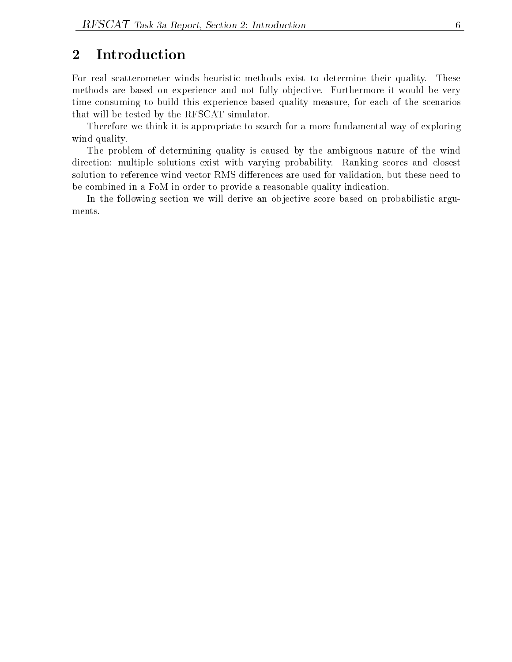## 2 Introduction

For real scatterometer winds heuristic methods exist to determine their quality. These methods are based on experience and not fully objective. Furthermore it would be very time consuming to build this experience-based quality measure, for each of the scenarios that will be tested by the RFSCAT simulator.

Therefore we think it is appropriate to search for a more fundamental way of exploring wind quality.

The problem of determining quality is caused by the ambiguous nature of the wind direction; multiple solutions exist with varying probability. Ranking scores and closest solution to reference wind vector RMS differences are used for validation, but these need to be combined in a FoM in order to provide a reasonable quality indication.

In the following section we will derive an objective score based on probabilistic arguments.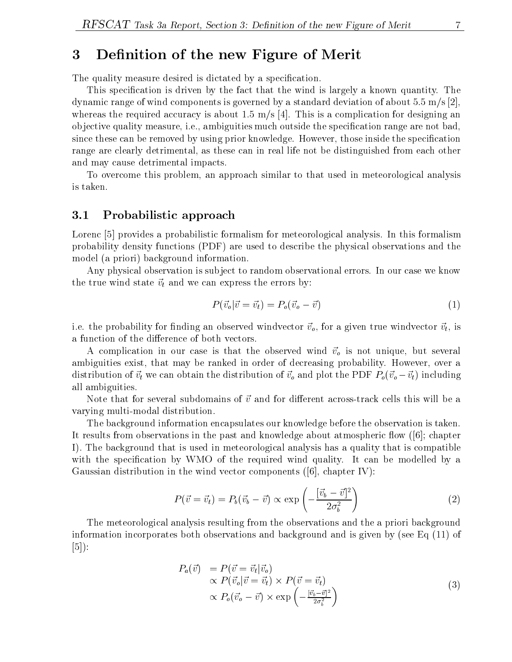## 3 Definition of the new Figure of Merit

The quality measure desired is dictated by a specification.

This specification is driven by the fact that the wind is largely a known quantity. The dynamic range of wind components is governed by a standard deviation of about 5.5 m/s [2], whereas the required accuracy is about 1.5 m/s [4]. This is a complication for designing an objective quality measure, i.e., ambiguities much outside the specification range are not bad, since these can be removed by using prior knowledge. However, those inside the specication range are clearly detrimental, as these can in real life not be distinguished from each other and may cause detrimental impacts.

To overcome this problem, an approach similar to that used in meteorological analysis is taken.

#### 3.1 Probabilistic approach

Lorenc [5] provides a probabilistic formalism for meteorological analysis. In this formalism probability density functions (PDF) are used to describe the physical observations and the model (a priori) background information.

Any physical observation is sub ject to random observational errors. In our case we know the true wind state  $\vec{v}_t$  and we can express the errors by:

$$
P(\vec{v}_o|\vec{v}=\vec{v}_t) = P_o(\vec{v}_o - \vec{v})\tag{1}
$$

i.e. the probability for finding an observed windvector  $\vec{v}_o$ , for a given true windvector  $\vec{v}_t$ , is a function of the difference of both vectors.

A complication in our case is that the observed wind  $\vec{v}_o$  is not unique, but several ambiguities exist, that may be ranked in order of decreasing probability. However, over a distribution of  $\vec{v}_t$  we can obtain the distribution of  $\vec{v}_o$  and plot the PDF  $P_o(\vec{v}_o - \vec{v}_t)$  including all ambiguities.

Note that for several subdomains of  $\vec{v}$  and for different across-track cells this will be a varying multi-modal distribution.

The background information encapsulates our knowledge before the observation is taken. It results from observations in the past and knowledge about atmospheric flow  $(6)$ ; chapter I). The background that is used in meteorological analysis has a quality that is compatible with the specification by WMO of the required wind quality. It can be modelled by a Gaussian distribution in the wind vector components ([6], chapter IV):

$$
P(\vec{v} = \vec{v}_t) = P_b(\vec{v}_b - \vec{v}) \propto \exp\left(-\frac{[\vec{v}_b - \vec{v}]^2}{2\sigma_b^2}\right)
$$
 (2)

The meteorological analysis resulting from the observations and the a priori background information incorporates both observations and background and is given by (see Eq (11) of [5]):

$$
P_a(\vec{v}) = P(\vec{v} = \vec{v}_t | \vec{v}_o) \n\propto P(\vec{v}_o | \vec{v} = \vec{v}_t) \times P(\vec{v} = \vec{v}_t) \n\propto P_o(\vec{v}_o - \vec{v}) \times \exp\left(-\frac{[\vec{v}_b - \vec{v}]^2}{2\sigma_b^2}\right)
$$
\n(3)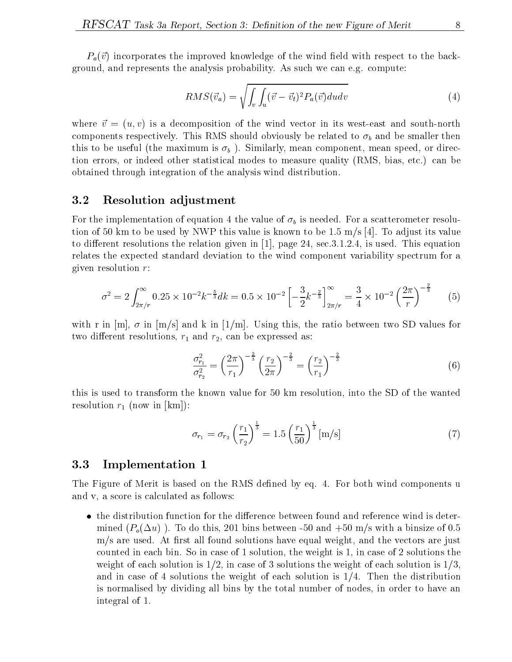$P_a(\vec{v})$  incorporates the improved knowledge of the wind field with respect to the background, and represents the analysis probability. As such we can e.g. compute:

$$
RMS(\vec{v}_a) = \sqrt{\int_v \int_u (\vec{v} - \vec{v}_t)^2 P_a(\vec{v}) du dv}
$$
\n(4)

where  $\vec{v} = (u, v)$  is a decomposition of the wind vector in its west-east and south-north components respectively. This RMS should obviously be related to  $\sigma_b$  and be smaller then this to be useful (the maximum is  $\sigma_b$ ). Similarly, mean component, mean speed, or direction errors, or indeed other statistical modes to measure quality (RMS, bias, etc.) can be obtained through integration of the analysis wind distribution.

#### 3.2 Resolution adjustment

For the implementation of equation 4 the value of  $\sigma_b$  is needed. For a scatterometer resolution of 50 km to be used by NWP this value is known to be 1.5 m/s [4]. To adjust its value to different resolutions the relation given in [1], page 24, sec.  $3.1.2.4$ , is used. This equation relates the expected standard deviation to the wind component variability spectrum for a given resolution r:

$$
\sigma^2 = 2 \int_{2\pi/r}^{\infty} 0.25 \times 10^{-2} k^{-\frac{5}{3}} dk = 0.5 \times 10^{-2} \left[ -\frac{3}{2} k^{-\frac{2}{3}} \right]_{2\pi/r}^{\infty} = \frac{3}{4} \times 10^{-2} \left( \frac{2\pi}{r} \right)^{-\frac{2}{3}} \tag{5}
$$

with r in  $[m], \sigma$  in  $[m/s]$  and k in  $[1/m]$ . Using this, the ratio between two SD values for two different resolutions,  $r_1$  and  $r_2$ , can be expressed as:

$$
\frac{\sigma_{r_1}^2}{\sigma_{r_2}^2} = \left(\frac{2\pi}{r_1}\right)^{-\frac{2}{3}} \left(\frac{r_2}{2\pi}\right)^{-\frac{2}{3}} = \left(\frac{r_2}{r_1}\right)^{-\frac{2}{3}}\tag{6}
$$

this is used to transform the known value for 50 km resolution, into the SD of the wanted resolution  $r_1$  (now in [km]):

$$
\sigma_{r_1} = \sigma_{r_2} \left(\frac{r_1}{r_2}\right)^{\frac{1}{3}} = 1.5 \left(\frac{r_1}{50}\right)^{\frac{1}{3}} \text{[m/s]}
$$
\n<sup>(7)</sup>

#### 3.3 Implementation <sup>1</sup>

The Figure of Merit is based on the RMS defined by eq. 4. For both wind components u and v, a score is calculated as follows:

• the distribution function for the difference between found and reference wind is determined  $(P_o(\Delta u))$ . To do this, 201 bins between -50 and +50 m/s with a binsize of 0.5  $m/s$  are used. At first all found solutions have equal weight, and the vectors are just counted in each bin. So in case of 1 solution, the weight is 1, in case of 2 solutions the weight of each solution is  $1/2$ , in case of 3 solutions the weight of each solution is  $1/3$ , and in case of 4 solutions the weight of each solution is 1/4. Then the distribution is normalised by dividing all bins by the total number of nodes, in order to have an integral of 1.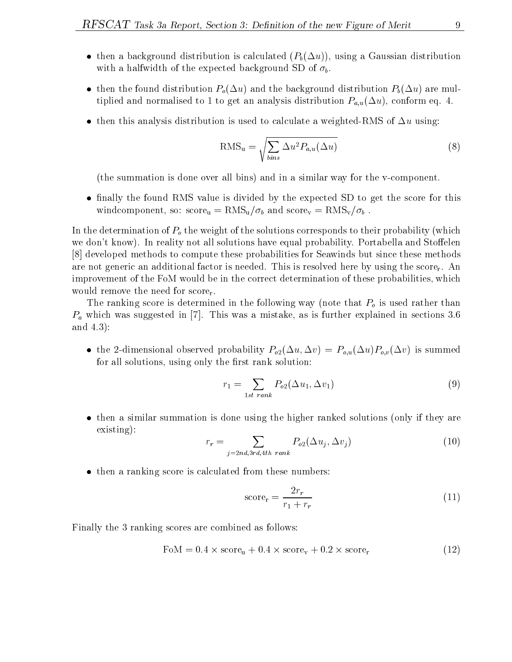- then a background distribution is calculated  $(P_b(\Delta u))$ , using a Gaussian distribution with a halfwidth of the expected background SD of  $\sigma_b$ .
- then the found distribution  $P_o(\Delta u)$  and the background distribution  $P_b(\Delta u)$  are multiplied and normalised to 1 to get an analysis distribution  $P_{a,u}(\Delta u)$ , conform eq. 4.
- then this analysis distribution is used to calculate a weighted-RMS of  $\Delta u$  using:

$$
RMS_u = \sqrt{\sum_{bins} \Delta u^2 P_{a,u}(\Delta u)}
$$
\n(8)

(the summation is done over all bins) and in a similar way for the v-component.

• finally the found RMS value is divided by the expected SD to get the score for this windcomponent, so:  $score_u = \text{RMS}_u/\sigma_b$  and  $score_v = \text{RMS}_v/\sigma_b$ .

In the determination of  $P<sub>o</sub>$  the weight of the solutions corresponds to their probability (which we don't know). In reality not all solutions have equal probability. Portabella and Stoffelen [8] developed methods to compute these probabilities for Seawinds but since these methods are not generic an additional factor is needed. This is resolved here by using the score<sub>r</sub>. An improvement of the FoM would be in the correct determination of these probabilities, which would remove the need for score.

The ranking score is determined in the following way (note that  $P<sub>o</sub>$  is used rather than  $P_a$  which was suggested in [7]. This was a mistake, as is further explained in sections 3.6 and 4.3):

• the 2-dimensional observed probability  $P_{o2}(\Delta u, \Delta v) = P_{o,u}(\Delta u)P_{o,v}(\Delta v)$  is summed for all solutions, using only the first rank solution:

$$
r_1 = \sum_{1st\ rank} P_{o2}(\Delta u_1, \Delta v_1) \tag{9}
$$

 then a similar summation is done using the higher ranked solutions (only if they are existing):

$$
r_r = \sum_{j=2nd,3rd,4th\ rank} P_{o2}(\Delta u_j, \Delta v_j)
$$
 (10)

• then a ranking score is calculated from these numbers:

$$
scorer = \frac{2r_r}{r_1 + r_r}
$$
\n(11)

Finally the 3 ranking scores are combined as follows:

$$
FoM = 0.4 \times \text{score}_{u} + 0.4 \times \text{score}_{v} + 0.2 \times \text{score}_{r}
$$
\n
$$
(12)
$$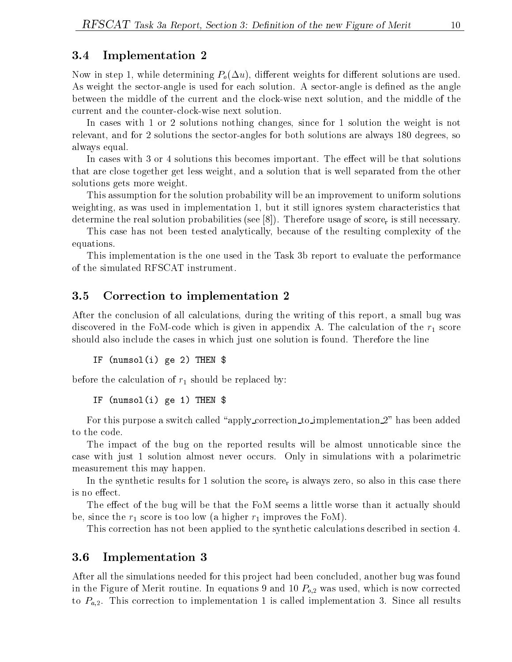## 3.4 Implementation <sup>2</sup>

Now in step 1, while determining  $P_o(\Delta u)$ , different weights for different solutions are used. As weight the sector-angle is used for each solution. A sector-angle is defined as the angle between the middle of the current and the clock-wise next solution, and the middle of the current and the counter-clock-wise next solution.

In cases with 1 or 2 solutions nothing changes, since for 1 solution the weight is not relevant, and for 2 solutions the sector-angles for both solutions are always 180 degrees, so always equal.

In cases with 3 or 4 solutions this becomes important. The effect will be that solutions that are close together get less weight, and a solution that is well separated from the other solutions gets more weight.

This assumption for the solution probability will be an improvement to uniform solutions weighting, as was used in implementation 1, but it still ignores system characteristics that determine the real solution probabilities (see [8]). Therefore usage of score<sub>r</sub> is still necessary.

This case has not been tested analytically, because of the resulting complexity of the equations.

This implementation is the one used in the Task 3b report to evaluate the performance of the simulated RFSCAT instrument.

#### Correction to implementation 2 3.5

After the conclusion of all calculations, during the writing of this report, a small bug was discovered in the FoM-code which is given in appendix A. The calculation of the  $r_1$  score should also include the cases in which just one solution is found. Therefore the line

```
IF (numsol(i) ge 2) THEN $
```
before the calculation of  $r_1$  should be replaced by:

```
If \sim 1, \sim 1, \sim 1, \sim 1, \sim 1, \sim 1, \sim 1, \sim 1, \sim 1, \sim 1, \sim 1, \sim 1, \sim 1, \sim 1, \sim 1, \sim 1, \sim 1, \sim 1, \sim 1, \sim 1, \sim 1, \sim 1, \sim 1, \sim 1, \sim 1, \sim 1, \sim 1, \
```
For this purpose a switch called "apply correction to implementation 2" has been added to the code.

The impact of the bug on the reported results will be almost unnoticable since the case with just 1 solution almost never occurs. Only in simulations with a polarimetric measurement this may happen.

In the synthetic results for 1 solution the score<sub>r</sub> is always zero, so also in this case there is no effect.

The effect of the bug will be that the FoM seems a little worse than it actually should be, since the  $r_1$  score is too low (a higher  $r_1$  improves the FoM).

This correction has not been applied to the synthetic calculations described in section 4.

#### 3.6 Implementation <sup>3</sup>

After all the simulations needed for this project had been concluded, another bug was found in the Figure of Merit routine. In equations 9 and 10  $P_{o,2}$  was used, which is now corrected to  $P_{a,2}$ . This correction to implementation 1 is called implementation 3. Since all results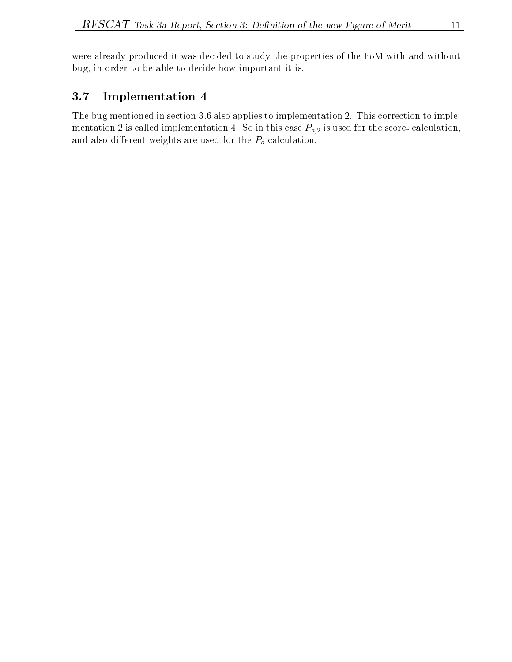were already produced it was decided to study the properties of the FoM with and without bug, in order to be able to decide how important it is.

## 3.7 Implementation <sup>4</sup>

The bug mentioned in section 3.6 also applies to implementation 2. This correction to implementation 2 is called implementation 4. So in this case  $P_{a,2}$  is used for the score, calculation, and also different weights are used for the  $P_o$  calculation.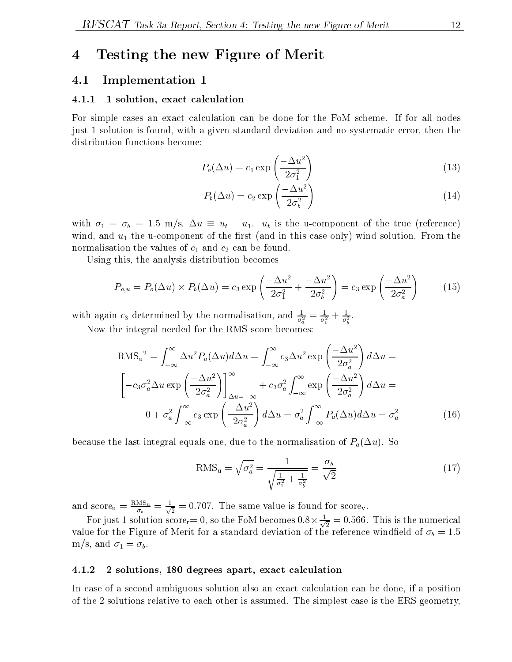## 4 Testing the new Figure of Merit

#### 4.1 Implementation <sup>1</sup>

#### 4.1.1 1 solution, exact calculation

For simple cases an exact calculation can be done for the FoM scheme. If for all nodes just 1 solution is found, with a given standard deviation and no systematic error, then the distribution functions become:

$$
P_o(\Delta u) = c_1 \exp\left(\frac{-\Delta u^2}{2\sigma_1^2}\right) \tag{13}
$$

$$
P_b(\Delta u) = c_2 \exp\left(\frac{-\Delta u^2}{2\sigma_b^2}\right) \tag{14}
$$

with  $\sigma_1 = \sigma_b = 1.5$  m/s,  $\Delta u \equiv u_t - u_1$ .  $u_t$  is the u-component of the true (reference) wind, and  $u_1$  the u-component of the first (and in this case only) wind solution. From the normalisation the values of  $c_1$  and  $c_2$  can be found.

Using this, the analysis distribution becomes

$$
P_{a,u} = P_o(\Delta u) \times P_b(\Delta u) = c_3 \exp\left(\frac{-\Delta u^2}{2\sigma_1^2} + \frac{-\Delta u^2}{2\sigma_b^2}\right) = c_3 \exp\left(\frac{-\Delta u^2}{2\sigma_a^2}\right) \tag{15}
$$

with again  $c_3$  determined by the normalisation, and  $\frac{1}{\sigma_a^2} = \frac{1}{\sigma_1^2} + \frac{1}{\sigma_b^2}$ .

Now the integral needed for the RMS score becomes:

$$
\text{RMS}_u^2 = \int_{-\infty}^{\infty} \Delta u^2 P_a(\Delta u) d\Delta u = \int_{-\infty}^{\infty} c_3 \Delta u^2 \exp\left(\frac{-\Delta u^2}{2\sigma_a^2}\right) d\Delta u =
$$
\n
$$
\left[ -c_3 \sigma_a^2 \Delta u \exp\left(\frac{-\Delta u^2}{2\sigma_a^2}\right) \right]_{\Delta u = -\infty}^{\infty} + c_3 \sigma_a^2 \int_{-\infty}^{\infty} \exp\left(\frac{-\Delta u^2}{2\sigma_a^2}\right) d\Delta u =
$$
\n
$$
0 + \sigma_a^2 \int_{-\infty}^{\infty} c_3 \exp\left(\frac{-\Delta u^2}{2\sigma_a^2}\right) d\Delta u = \sigma_a^2 \int_{-\infty}^{\infty} P_a(\Delta u) d\Delta u = \sigma_a^2 \tag{16}
$$

because the last integral equals one, due to the normalisation of  $P_a(\Delta u)$ . So

$$
RMS_u = \sqrt{\sigma_a^2} = \frac{1}{\sqrt{\frac{1}{\sigma_1^2} + \frac{1}{\sigma_b^2}}} = \frac{\sigma_b}{\sqrt{2}}
$$
(17)

and score<sub>u</sub>  $\frac{1}{\sigma_b} = \frac{1}{\sqrt{2}} = 0.707$ . The same value is found for score<sub>v</sub>.

For just 1 solution score $_1=0,$  so the FoM becomes  $0.8\times\frac{1}{\sqrt{2}}=0.566.$  This is the numerical value for the Figure of Merit for a standard deviation of the reference windfield of  $\sigma_b = 1.5$ m/s, and  $\sigma_1 = \sigma_b$ .

#### 4.1.2 2 solutions, 180 degrees apart, exact calculation

In case of a second ambiguous solution also an exact calculation can be done, if a position of the 2 solutions relative to each other is assumed. The simplest case is the ERS geometry,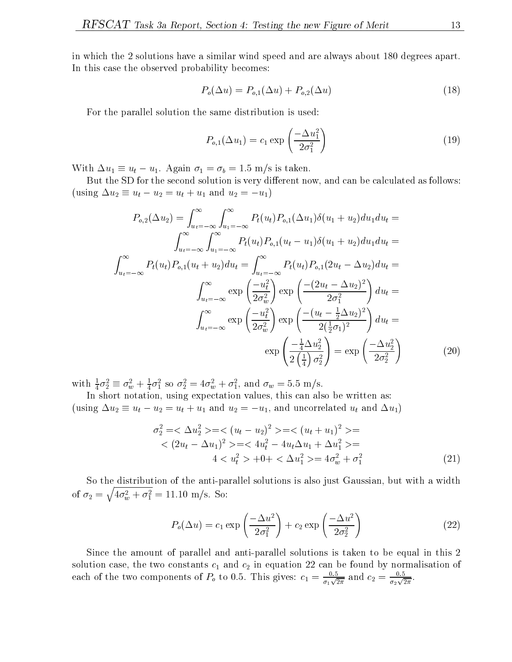in which the 2 solutions have a similar wind speed and are always about 180 degrees apart. In this case the observed probability becomes:

$$
P_o(\Delta u) = P_{o,1}(\Delta u) + P_{o,2}(\Delta u)
$$
\n(18)

For the parallel solution the same distribution is used:

$$
P_{o,1}(\Delta u_1) = c_1 \exp\left(\frac{-\Delta u_1^2}{2\sigma_1^2}\right) \tag{19}
$$

With  $\Delta u_1 \equiv u_t - u_1$ . Again  $\sigma_1 = \sigma_b = 1.5$  m/s is taken.

But the SD for the second solution is very different now, and can be calculated as follows: (using  $\Delta u_2 \equiv u_t - u_2 = u_t + u_1$  and  $u_2 = -u_1$ )

$$
P_{o,2}(\Delta u_2) = \int_{u_t = -\infty}^{\infty} \int_{u_1 = -\infty}^{\infty} P_t(u_t) P_{o,1}(\Delta u_1) \delta(u_1 + u_2) du_1 du_t =
$$
  

$$
\int_{u_t = -\infty}^{\infty} \int_{u_1 = -\infty}^{\infty} P_t(u_t) P_{o,1}(u_t - u_1) \delta(u_1 + u_2) du_1 du_t =
$$
  

$$
\int_{u_t = -\infty}^{\infty} P_t(u_t) P_{o,1}(u_t + u_2) du_t = \int_{u_t = -\infty}^{\infty} P_t(u_t) P_{o,1}(2u_t - \Delta u_2) du_t =
$$
  

$$
\int_{u_t = -\infty}^{\infty} \exp\left(\frac{-u_t^2}{2\sigma_w^2}\right) \exp\left(\frac{-(2u_t - \Delta u_2)^2}{2\sigma_1^2}\right) du_t =
$$
  

$$
\int_{u_t = -\infty}^{\infty} \exp\left(\frac{-u_t^2}{2\sigma_w^2}\right) \exp\left(\frac{-(u_t - \frac{1}{2}\Delta u_2)^2}{2(\frac{1}{2}\sigma_1)^2}\right) du_t =
$$
  

$$
\exp\left(\frac{-\frac{1}{4}\Delta u_2^2}{2(\frac{1}{4})\sigma_2^2}\right) = \exp\left(\frac{-\Delta u_2^2}{2\sigma_2^2}\right) \tag{20}
$$

with  $\frac{1}{4}\sigma_2 = \sigma_w^2 + \frac{1}{4}\sigma_1^2$  so  $\sigma_2^2 = 4\sigma_w^2 + \sigma_1^2$ , and  $\sigma_w = 5.5$  m/s. In short notation, using expectation values, this can also be written as:

(using  $\Delta u_2 \equiv u_t - u_2 = u_t + u_1$  and  $u_2 = -u_1$ , and uncorrelated  $u_t$  and  $\Delta u_1$ )

$$
\sigma_2^2 = \langle \Delta u_2^2 \rangle = \langle (u_t - u_2)^2 \rangle = \langle (u_t + u_1)^2 \rangle =
$$
  
< 
$$
\langle (2u_t - \Delta u_1)^2 \rangle = \langle 4u_t^2 - 4u_t\Delta u_1 + \Delta u_1^2 \rangle =
$$
  

$$
4 \langle u_t^2 \rangle + 0 + \langle \Delta u_1^2 \rangle = 4\sigma_w^2 + \sigma_1^2
$$
(21)

So the distribution of the anti-parallel solutions is also just Gaussian, but with a width of  $\sigma_2 = \sqrt{4\sigma_w^2 + \sigma_1^2} = 11.10 \text{ m/s}$ . So:

$$
P_o(\Delta u) = c_1 \exp\left(\frac{-\Delta u^2}{2\sigma_1^2}\right) + c_2 \exp\left(\frac{-\Delta u^2}{2\sigma_2^2}\right) \tag{22}
$$

Since the amount of parallel and anti-parallel solutions is taken to be equal in this 2 solution case, the two constants  $c_1$  and  $c_2$  in equation 22 can be found by normalisation of each of the two components of  $P_0$  to 0.5. This gives:  $c_1 = \frac{1}{\sigma_1\sqrt{2\pi}}$  and  $c_2 = \frac{1}{\sigma_2\sqrt{2\pi}}$ .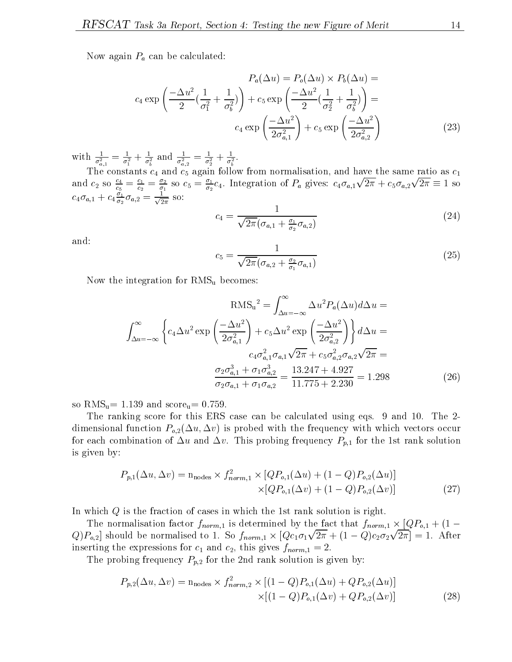Now again  $P_a$  can be calculated:

$$
P_a(\Delta u) = P_o(\Delta u) \times P_b(\Delta u) =
$$
  

$$
c_4 \exp\left(\frac{-\Delta u^2}{2} \left(\frac{1}{\sigma_1^2} + \frac{1}{\sigma_b^2}\right)\right) + c_5 \exp\left(\frac{-\Delta u^2}{2} \left(\frac{1}{\sigma_2^2} + \frac{1}{\sigma_b^2}\right)\right) =
$$
  

$$
c_4 \exp\left(\frac{-\Delta u^2}{2\sigma_{a,1}^2}\right) + c_5 \exp\left(\frac{-\Delta u^2}{2\sigma_{a,2}^2}\right)
$$
 (23)

with  $\frac{1}{\sigma_{a,1}^2} = \frac{1}{\sigma_1^2} + \frac{1}{\sigma_b^2}$  and  $\frac{1}{\sigma_{a,2}^2} = \frac{1}{\sigma_2^2} + \frac{1}{\sigma_b^2}$ .

 $T$  and c5 and c5 again follow from normalisation, and have the same ratio as c1 and have the same ratio as c1 and  $c_2$  so  $\frac{c_4}{c_5} = \frac{c_1}{c_2} = \frac{\sigma_2}{\sigma_1}$  so  $c_5 = \frac{\sigma_1}{\sigma_2}c_4$ . Integration of  $P_a$  gives:  $c_4\sigma_{a,1}\sqrt{2\pi} + c_5\sigma_{a,2}\sqrt{2\pi} \equiv 1$  so  $c_4\sigma_{a,1}+c_4\frac{1}{\sigma_2}\sigma_{a,2}=\frac{1}{\sqrt{2\pi}}$  so:  $2\pi$  and  $\pi$ 

$$
c_4 = \frac{1}{\sqrt{2\pi}(\sigma_{a,1} + \frac{\sigma_1}{\sigma_2}\sigma_{a,2})}
$$
(24)

and:

$$
c_5 = \frac{1}{\sqrt{2\pi}(\sigma_{a,2} + \frac{\sigma_2}{\sigma_1}\sigma_{a,1})}
$$
(25)

Now the integration for  $RMS_u$  becomes:

$$
RMS_{u}^{2} = \int_{\Delta u = -\infty}^{\infty} \Delta u^{2} P_{a}(\Delta u) d\Delta u =
$$

$$
\int_{\Delta u = -\infty}^{\infty} \left\{ c_{4} \Delta u^{2} \exp\left(\frac{-\Delta u^{2}}{2\sigma_{a,1}^{2}}\right) + c_{5} \Delta u^{2} \exp\left(\frac{-\Delta u^{2}}{2\sigma_{a,2}^{2}}\right) \right\} d\Delta u =
$$

$$
c_{4} \sigma_{a,1}^{2} \sigma_{a,1} \sqrt{2\pi} + c_{5} \sigma_{a,2}^{2} \sigma_{a,2} \sqrt{2\pi} =
$$

$$
\frac{\sigma_{2} \sigma_{a,1}^{3} + \sigma_{1} \sigma_{a,2}^{3}}{\sigma_{2} \sigma_{a,1} + \sigma_{1} \sigma_{a,2}} = \frac{13.247 + 4.927}{11.775 + 2.230} = 1.298
$$
(26)

so  $\text{RMS}_u = 1.139$  and score<sub>u</sub> = 0.759.

The ranking score for this ERS case can be calculated using eqs. 9 and 10. The 2 dimensional function  $P_{o,2}(\Delta u, \Delta v)$  is probed with the frequency with which vectors occur for each combination of  $\Delta u$  and  $\Delta v$ . This probing frequency  $P_{p,1}$  for the 1st rank solution is given by:

$$
P_{p,1}(\Delta u, \Delta v) = \mathbf{n}_{\text{nodes}} \times f_{norm,1}^2 \times [QP_{o,1}(\Delta u) + (1 - Q)P_{o,2}(\Delta u)]
$$
  
 
$$
\times [QP_{o,1}(\Delta v) + (1 - Q)P_{o,2}(\Delta v)]
$$
 (27)

In which Q is the fraction of cases in which the 1st rank solution is right.

The normalisation factor  $\mathcal{I}_1$  is determined by the factor factor form;  $1$  is  $\mathcal{I}_1$  ,  $\mathcal{I}_2$  ,  $\mathcal{I}_3$  ,  $\mathcal{I}_4$  ,  $\mathcal{I}_5$  ,  $\mathcal{I}_6$  ,  $\mathcal{I}_7$  ,  $\mathcal{I}_8$  ,  $\mathcal{I}_7$  ,  $\mathcal{I}_8$  ,  $\mathcal{I}_9$  ,  $\mathcal{I$  $Q[P_{o,2}]$  should be normalised to 1. So  $f_{norm,1} \times [Qc_1\sigma_1\sqrt{2\pi} + (1-Q)c_2\sigma_2\sqrt{2\pi}] = 1$ . After inserting the expressions for  $c_1$  and  $c_2$ , this gives  $f_{norm,1} = 2$ .

The probing frequency  $P_{p,2}$  for the 2nd rank solution is given by:

$$
P_{p,2}(\Delta u, \Delta v) = n_{\text{nodes}} \times f_{norm,2}^2 \times [(1 - Q)P_{o,1}(\Delta u) + QP_{o,2}(\Delta u)]
$$
  
 
$$
\times [(1 - Q)P_{o,1}(\Delta v) + QP_{o,2}(\Delta v)]
$$
 (28)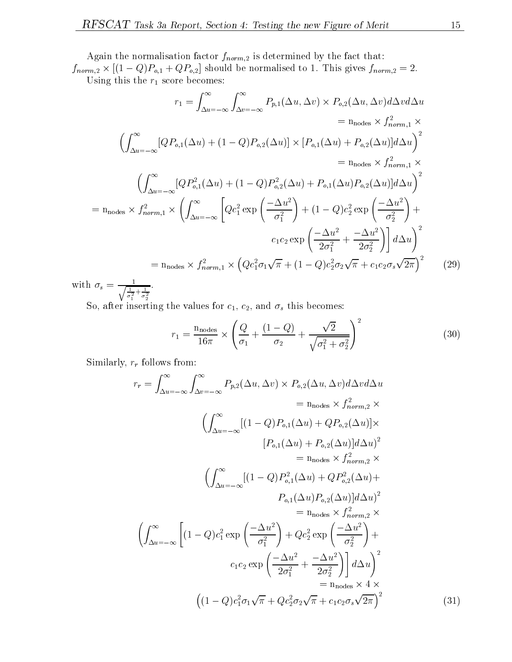Again the normalisation factor  $f_{norm,2}$  is determined by the fact that:

fnorm;2 - [(1 Q)Po;1 <sup>+</sup> QPo;2] should be normalised to 1. This gives fnorm;2 = 2. Using this the  $r_1$  score becomes:

$$
r_1 = \int_{\Delta u = -\infty}^{\infty} \int_{\Delta v = -\infty}^{\infty} P_{p,1}(\Delta u, \Delta v) \times P_{o,2}(\Delta u, \Delta v) d\Delta v d\Delta u
$$
  
\n
$$
= n_{\text{nodes}} \times f_{norm,1}^2 \times
$$
  
\n
$$
\left( \int_{\Delta u = -\infty}^{\infty} [QP_{o,1}(\Delta u) + (1 - Q)P_{o,2}(\Delta u)] \times [P_{o,1}(\Delta u) + P_{o,2}(\Delta u)] d\Delta u \right)^2
$$
  
\n
$$
= n_{\text{nodes}} \times f_{norm,1}^2 \times
$$
  
\n
$$
\left( \int_{\Delta u = -\infty}^{\infty} [QP_{o,1}^2(\Delta u) + (1 - Q)P_{o,2}^2(\Delta u) + P_{o,1}(\Delta u)P_{o,2}(\Delta u)] d\Delta u \right)^2
$$
  
\n
$$
= n_{\text{nodes}} \times f_{norm,1}^2 \times \left( \int_{\Delta u = -\infty}^{\infty} \left[ Qc_1^2 \exp\left(\frac{-\Delta u^2}{\sigma_1^2}\right) + (1 - Q)c_2^2 \exp\left(\frac{-\Delta u^2}{\sigma_2^2}\right) + C_{1}c_{2} \exp\left(\frac{-\Delta u^2}{\sigma_1^2}\right) + \frac{C_{1}c_{2}}{2\sigma_{1}^2} + \frac{-\Delta u^2}{2\sigma_{2}^2} \right) \right] d\Delta u \right)^2
$$
  
\n
$$
= n_{\text{nodes}} \times f_{norm,1}^2 \times \left( Qc_1^2 \sigma_1 \sqrt{\pi} + (1 - Q)c_2^2 \sigma_2 \sqrt{\pi} + c_{1}c_{2} \sigma_3 \sqrt{2\pi} \right)^2 \tag{29}
$$

with  $\sigma_s = \frac{1}{\sqrt{1-\frac{1}{\sigma_s}}}$ .  $\frac{1}{\sigma_1^2} + \frac{1}{\sigma_2^2}$ 

 $\sim$  straightform inserting the values for c1, c2, and s this becomes the contract this becomes:

$$
r_1 = \frac{n_{\text{nodes}}}{16\pi} \times \left(\frac{Q}{\sigma_1} + \frac{(1 - Q)}{\sigma_2} + \frac{\sqrt{2}}{\sqrt{\sigma_1^2 + \sigma_2^2}}\right)^2
$$
(30)

Similarly,  $r_r$  follows from:

$$
r_r = \int_{\Delta u = -\infty}^{\infty} \int_{\Delta v = -\infty}^{\infty} P_{p,2}(\Delta u, \Delta v) \times P_{o,2}(\Delta u, \Delta v) d\Delta v d\Delta u
$$
  
\n
$$
= n_{\text{nodes}} \times f_{norm,2}^2 \times
$$
  
\n
$$
\left( \int_{\Delta u = -\infty}^{\infty} [(1 - Q)P_{o,1}(\Delta u) + QP_{o,2}(\Delta u)] \times
$$
  
\n
$$
[P_{o,1}(\Delta u) + P_{o,2}(\Delta u)] d\Delta u \right)^2
$$
  
\n
$$
= n_{\text{nodes}} \times f_{norm,2}^2 \times
$$
  
\n
$$
\left( \int_{\Delta u = -\infty}^{\infty} [(1 - Q)P_{o,1}^2(\Delta u) + QP_{o,2}^2(\Delta u) + P_{o,1}(\Delta u)P_{o,2}(\Delta u)] d\Delta u \right)^2
$$
  
\n
$$
= n_{\text{nodes}} \times f_{norm,2}^2 \times
$$
  
\n
$$
\left( \int_{\Delta u = -\infty}^{\infty} \left[ (1 - Q) c_1^2 \exp\left(\frac{-\Delta u^2}{\sigma_1^2}\right) + Q c_2^2 \exp\left(\frac{-\Delta u^2}{\sigma_2^2}\right) + Q c_2^2 \exp\left(\frac{-\Delta u^2}{\sigma_2^2}\right) \right] d\Delta u \right)^2
$$
  
\n
$$
= n_{\text{nodes}} \times 4 \times
$$
  
\n
$$
\left( (1 - Q) c_1^2 \sigma_1 \sqrt{\pi} + Q c_2^2 \sigma_2 \sqrt{\pi} + c_1 c_2 \sigma_s \sqrt{2\pi} \right)^2
$$
  
\n(31)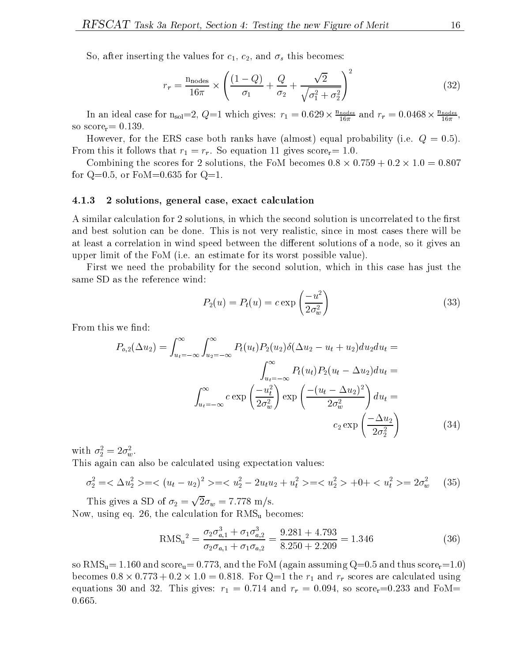So, after inserting the values for  $c_1, c_2$ , and  $\sigma_s$  this becomes:

$$
r_r = \frac{n_{\text{nodes}}}{16\pi} \times \left( \frac{(1 - Q)}{\sigma_1} + \frac{Q}{\sigma_2} + \frac{\sqrt{2}}{\sqrt{\sigma_1^2 + \sigma_2^2}} \right)^2 \tag{32}
$$

In an ideal case for  $n_{\text{sol}}=2$ ,  $Q=1$  which gives:  $r_1 = 0.629 \times \frac{25000 \text{ m}}{16 \pi}$  and  $r_r = 0.0468 \times \frac{25000 \text{ m}}{16 \pi}$ , so  $score_r = 0.139$ .

However, for the ERS case both ranks have (almost) equal probability (i.e.  $Q = 0.5$ ). From this it follows that  $r_1 = r_r$ . So equation 11 gives score, = 1.0.

Combining the scores for 2 solutions, the FoM becomes 0:8 - 0:759 + 0:2 - 1:0=0:807 for  $Q=0.5$ , or  $F \circ M = 0.635$  for  $Q=1$ .

#### 4.1.3 2 solutions, general case, exact calculation

A similar calculation for 2 solutions, in which the second solution is uncorrelated to the first and best solution can be done. This is not very realistic, since in most cases there will be at least a correlation in wind speed between the different solutions of a node, so it gives an upper limit of the FoM (i.e. an estimate for its worst possible value).

First we need the probability for the second solution, which in this case has just the same SD as the reference wind:

$$
P_2(u) = P_t(u) = c \exp\left(\frac{-u^2}{2\sigma_w^2}\right) \tag{33}
$$

From this we find:

$$
P_{o,2}(\Delta u_2) = \int_{u_t = -\infty}^{\infty} \int_{u_2 = -\infty}^{\infty} P_t(u_t) P_2(u_2) \delta(\Delta u_2 - u_t + u_2) du_2 du_t =
$$

$$
\int_{u_t = -\infty}^{\infty} P_t(u_t) P_2(u_t - \Delta u_2) du_t =
$$

$$
\int_{u_t = -\infty}^{\infty} c \exp\left(\frac{-u_t^2}{2\sigma_w^2}\right) \exp\left(\frac{-(u_t - \Delta u_2)^2}{2\sigma_w^2}\right) du_t =
$$

$$
c_2 \exp\left(\frac{-\Delta u_2}{2\sigma_2^2}\right) \tag{34}
$$

with  $\sigma_2^2 = 2\sigma_w^2$ .

This again can also be calculated using expectation values:

$$
\sigma_2^2 = \langle \Delta u_2^2 \rangle = \langle (u_t - u_2)^2 \rangle = \langle u_2^2 - 2u_t u_2 + u_t^2 \rangle = \langle u_2^2 \rangle + 0 + \langle u_t^2 \rangle = 2\sigma_w^2 \tag{35}
$$

This gives a SD of  $\sigma_2 = \sqrt{2}\sigma_w = 7.778$  m/s. Now, using eq. 26, the calculation for  $RMS_u$  becomes:

$$
RMS_u^2 = \frac{\sigma_2 \sigma_{a,1}^3 + \sigma_1 \sigma_{a,2}^3}{\sigma_2 \sigma_{a,1} + \sigma_1 \sigma_{a,2}} = \frac{9.281 + 4.793}{8.250 + 2.209} = 1.346
$$
 (36)

so  $RMS_u=1.160$  and score<sub>u</sub>= 0.773, and the FoM (again assuming Q=0.5 and thus score<sub>r</sub>=1.0) becomes 0:8 - 0:773 + 0:2 - 1:0=0:818. For Q=1 the r1 and rr scores are calculated using equations 30 and 32. This gives:  $r_1 = 0.714$  and  $r_r = 0.094$ , so score<sub>r</sub>=0.233 and FoM= 0.665.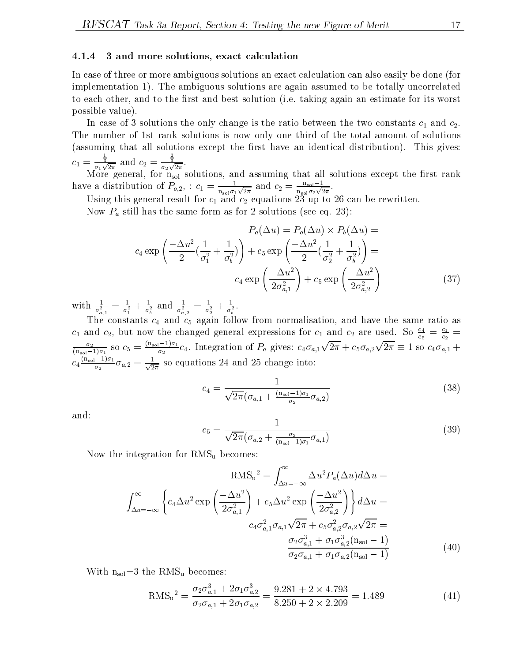#### 4.1.4 3 and more solutions, exact calculation

In case of three or more ambiguous solutions an exact calculation can also easily be done (for implementation 1). The ambiguous solutions are again assumed to be totally uncorrelated to each other, and to the first and best solution (i.e. taking again an estimate for its worst possible value).

In case of 3 solutions the only change is the ratio between the two constants  $c_1$  and  $c_2$ . The number of 1st rank solutions is now only one third of the total amount of solutions (assuming that all solutions except the first have an identical distribution). This gives: = 1 = 10 = 2 = 2  $\frac{\frac{3}{3}}{\sigma_1\sqrt{2\pi}}$  and  $c_2 = \frac{\frac{3}{3}}{\sigma_2\sqrt{2\pi}}$ .  $\frac{3}{\sigma_2\sqrt{2\pi}}$ .

More general, for nsol solutions, and assuming that all solutions except the rst rank have a distribution of  $P_{o,2}$ , :  $c_1 = \frac{1}{n_{sol}\sigma_1\sqrt{2\pi}}$  and  $c_2 = \frac{1}{n_{sol}\sigma_2\sqrt{2\pi}}$ .

Using this general result for can c1 and c2 equations 23 up to 24 can be rewritten.

Now  $P_a$  still has the same form as for 2 solutions (see eq. 23):

$$
P_a(\Delta u) = P_o(\Delta u) \times P_b(\Delta u) =
$$
  

$$
c_4 \exp\left(\frac{-\Delta u^2}{2}(\frac{1}{\sigma_1^2} + \frac{1}{\sigma_b^2})\right) + c_5 \exp\left(\frac{-\Delta u^2}{2}(\frac{1}{\sigma_2^2} + \frac{1}{\sigma_b^2})\right) =
$$
  

$$
c_4 \exp\left(\frac{-\Delta u^2}{2\sigma_{a,1}^2}\right) + c_5 \exp\left(\frac{-\Delta u^2}{2\sigma_{a,2}^2}\right)
$$
(37)

with  $\frac{1}{\sigma_{a,1}^2} = \frac{1}{\sigma_1^2} + \frac{1}{\sigma_b^2}$  and  $\frac{1}{\sigma_{a,2}^2} = \frac{1}{\sigma_2^2} + \frac{1}{\sigma_b^2}$ .

The constants c4 and c5 again follow from normalisation, and have the same ratio as  $c_1$  and  $c_2$ , but now the changed general expressions for  $c_1$  and  $c_2$  are used. So  $\frac{c_4}{c_5} = \frac{c_1}{c_2}$  $\frac{\sigma_2}{(n_{\rm sol}-1)\sigma_1}$  so  $c_5 = \frac{(n_{\rm sol}-1)\sigma_1}{\sigma_2}c_4$ . Integration of  $P_a$  gives:  $c_4\sigma_{a,1}\sqrt{2\pi} + c_5\sigma_{a,2}\sqrt{2\pi} \equiv 1$  so  $c_4\sigma_{a,1}$  +  $c_4 \frac{\cos(\frac{1}{2})^2 + \sigma_{a,2}}{\sigma_2} = \frac{1}{\sqrt{2\pi}}$  so equations 24 and 25 change into:

$$
c_4 = \frac{1}{\sqrt{2\pi}(\sigma_{a,1} + \frac{(n_{sol} - 1)\sigma_1}{\sigma_2}\sigma_{a,2})}
$$
(38)

and:

$$
c_5 = \frac{1}{\sqrt{2\pi}(\sigma_{a,2} + \frac{\sigma_2}{(n_{\text{sol}} - 1)\sigma_1}\sigma_{a,1})}
$$
(39)

Now the integration for  $RMS_u$  becomes:

$$
\text{RMS}_u^2 = \int_{\Delta u = -\infty}^{\infty} \Delta u^2 P_a(\Delta u) d\Delta u =
$$

$$
\int_{\Delta u = -\infty}^{\infty} \left\{ c_4 \Delta u^2 \exp\left(\frac{-\Delta u^2}{2\sigma_{a,1}^2}\right) + c_5 \Delta u^2 \exp\left(\frac{-\Delta u^2}{2\sigma_{a,2}^2}\right) \right\} d\Delta u =
$$

$$
c_4 \sigma_{a,1}^2 \sigma_{a,1} \sqrt{2\pi} + c_5 \sigma_{a,2}^2 \sigma_{a,2} \sqrt{2\pi} =
$$

$$
\frac{\sigma_2 \sigma_{a,1}^3 + \sigma_1 \sigma_{a,2}^3 (\mathbf{n}_{\text{sol}} - 1)}{\sigma_2 \sigma_{a,1} + \sigma_1 \sigma_{a,2} (\mathbf{n}_{\text{sol}} - 1)}
$$
(40)

With  $n_{sol}=3$  the  $RMS_u$  becomes:

$$
\text{RMS}_{\mathbf{u}}^{2} = \frac{\sigma_2 \sigma_{a,1}^3 + 2\sigma_1 \sigma_{a,2}^3}{\sigma_2 \sigma_{a,1} + 2\sigma_1 \sigma_{a,2}} = \frac{9.281 + 2 \times 4.793}{8.250 + 2 \times 2.209} = 1.489
$$
\n(41)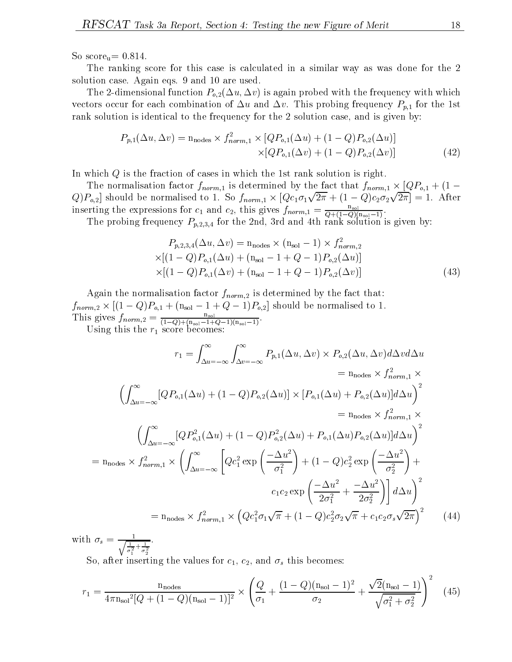So  $score_u = 0.814$ .

The ranking score for this case is calculated in a similar way as was done for the 2 solution case. Again eqs. 9 and 10 are used.

The 2-dimensional function  $P_{o,2}(\Delta u, \Delta v)$  is again probed with the frequency with which vectors occur for each combination of  $\Delta u$  and  $\Delta v$ . This probing frequency  $P_{p,1}$  for the 1st rank solution is identical to the frequency for the 2 solution case, and is given by:

$$
P_{p,1}(\Delta u, \Delta v) = \mathbf{n}_{\text{nodes}} \times f_{norm,1}^2 \times [QP_{o,1}(\Delta u) + (1 - Q)P_{o,2}(\Delta u)]
$$
  
 
$$
\times [QP_{o,1}(\Delta v) + (1 - Q)P_{o,2}(\Delta v)]
$$
 (42)

In which Q is the fraction of cases in which the 1st rank solution is right.

The normalisation factor  $\mathcal{I}_1$  is determined by the factor factor form;  $1$  is  $\mathcal{I}_1$  ,  $\mathcal{I}_2$  ,  $\mathcal{I}_3$  ,  $\mathcal{I}_4$  ,  $\mathcal{I}_5$  ,  $\mathcal{I}_6$  ,  $\mathcal{I}_7$  ,  $\mathcal{I}_8$  ,  $\mathcal{I}_7$  ,  $\mathcal{I}_8$  ,  $\mathcal{I}_9$  ,  $\mathcal{I$  $Q[P_{o,2}]$  should be normalised to 1. So  $f_{norm,1} \times [Q c_1 \sigma_1 \sqrt{2\pi} + (1 - Q) c_2 \sigma_2 \sqrt{2\pi}] = 1$ . After inserting the expressions for  $c_1$  and  $c_2$ , this gives  $f_{norm,1} = \frac{1}{Q + (1-Q)(n_{sol}-1)}$ .

The problem  $\Omega$  frequency  $P$ ;2;3;4 for the 2nd 4th rank solution is distributed by:  $\Omega$  is given by:

$$
P_{p,2,3,4}(\Delta u, \Delta v) = \mathbf{n}_{\text{nodes}} \times (\mathbf{n}_{\text{sol}} - 1) \times f_{norm,2}^2
$$
  
 
$$
\times [(1 - Q)P_{o,1}(\Delta u) + (\mathbf{n}_{\text{sol}} - 1 + Q - 1)P_{o,2}(\Delta u)]
$$
  
 
$$
\times [(1 - Q)P_{o,1}(\Delta v) + (\mathbf{n}_{\text{sol}} - 1 + Q - 1)P_{o,2}(\Delta v)]
$$
 (43)

Again the normalisation factor  $f_{norm,2}$  is determined by the fact that: fnorm;2 - [(1 Q)Po;1 + (nsol 1 + <sup>Q</sup> 1)Po;2] should be normalised to 1. I fils gives  $f_{norm,2} = \frac{q_{\text{sol}}}{(1-Q)+(n_{\text{sol}}-1+Q-1)(n_{\text{sol}}-1)}$ .

Using the rate r<sub>1</sub> score becomes:

$$
r_{1} = \int_{\Delta u=-\infty}^{\infty} \int_{\Delta v=-\infty}^{\infty} P_{p,1}(\Delta u, \Delta v) \times P_{o,2}(\Delta u, \Delta v) d\Delta v d\Delta u
$$
  
\n
$$
= n_{\text{nodes}} \times f_{norm,1}^{2} \times
$$
  
\n
$$
\left( \int_{\Delta u=-\infty}^{\infty} [QP_{o,1}(\Delta u) + (1-Q)P_{o,2}(\Delta u)] \times [P_{o,1}(\Delta u) + P_{o,2}(\Delta u)] d\Delta u \right)^{2}
$$
  
\n
$$
= n_{\text{nodes}} \times f_{norm,1}^{2} \times
$$
  
\n
$$
\left( \int_{\Delta u=-\infty}^{\infty} [QP_{o,1}^{2}(\Delta u) + (1-Q)P_{o,2}^{2}(\Delta u) + P_{o,1}(\Delta u)P_{o,2}(\Delta u)] d\Delta u \right)^{2}
$$
  
\n
$$
= n_{\text{nodes}} \times f_{norm,1}^{2} \times \left( \int_{\Delta u=-\infty}^{\infty} \left[ Qc_{1}^{2} \exp \left( \frac{-\Delta u^{2}}{\sigma_{1}^{2}} \right) + (1-Q)c_{2}^{2} \exp \left( \frac{-\Delta u^{2}}{\sigma_{2}^{2}} \right) + C_{1}c_{2} \exp \left( \frac{-\Delta u^{2}}{\sigma_{1}^{2}} \right) \right] d\Delta u \right)^{2}
$$
  
\n
$$
= n_{\text{nodes}} \times f_{norm,1}^{2} \times \left( Qc_{1}^{2} \sigma_{1} \sqrt{\pi} + (1-Q) c_{2}^{2} \sigma_{2} \sqrt{\pi} + c_{1}c_{2} \sigma_{s} \sqrt{2\pi} \right)^{2} \tag{44}
$$

with  $\sigma_s = \frac{1}{\sqrt{1-\frac{1}{\sqrt{1-\frac{1}{\sqrt{1-\frac{1}{\sqrt{1-\frac{1}{\sqrt{1-\frac{1}{\sqrt{1-\frac{1}{\sqrt{1-\frac{1}{\sqrt{1-\frac{1}{\sqrt{1-\frac{1}{\sqrt{1-\frac{1}{\sqrt{1-\frac{1}{\sqrt{1-\frac{1}{\sqrt{1-\frac{1}{\sqrt{1-\frac{1}{\sqrt{1-\frac{1}{\sqrt{1-\frac{1}{\sqrt{1-\frac{1}{\sqrt{1-\frac{1}{\sqrt{1-\frac{1}{\sqrt{1-\frac{1}{\sqrt{1-\frac{1}{\sqrt{1-\frac{1}{\sqrt{1-\frac{1$  $\frac{1}{\sigma_1^2} + \frac{1}{\sigma_2^2}$ 22 January 2014 - 2014 - 2014 - 2014 - 2014 - 2014 - 2014 - 2014 - 2014 - 2014 - 2014 - 2014

So, after inserting the values for  $c_1$ ,  $c_2$ , and  $\sigma_s$  this becomes:

$$
r_1 = \frac{n_{\text{nodes}}}{4\pi n_{\text{sol}}^2 [Q + (1 - Q)(n_{\text{sol}} - 1)]^2} \times \left(\frac{Q}{\sigma_1} + \frac{(1 - Q)(n_{\text{sol}} - 1)^2}{\sigma_2} + \frac{\sqrt{2}(n_{\text{sol}} - 1)}{\sqrt{\sigma_1^2 + \sigma_2^2}}\right)^2 \tag{45}
$$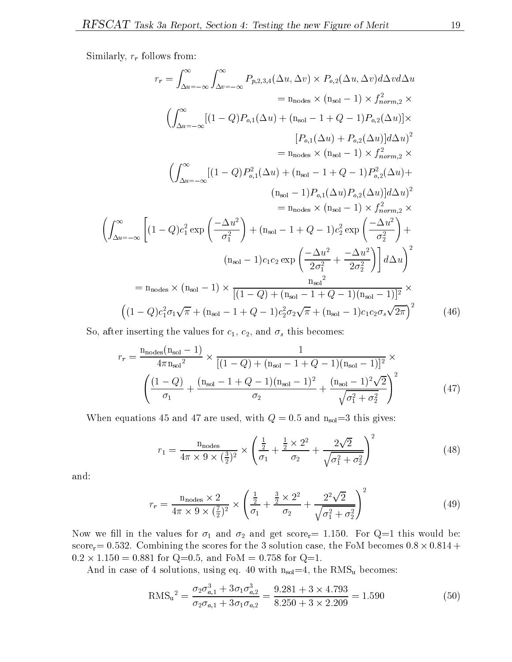Similarly,  $r_r$  follows from:

$$
r_r = \int_{\Delta u = -\infty}^{\infty} \int_{\Delta v = -\infty}^{\infty} P_{p,2,3,4}(\Delta u, \Delta v) \times P_{o,2}(\Delta u, \Delta v) d\Delta v d\Delta u
$$
  
\n
$$
= n_{\text{nodes}} \times (n_{\text{sol}} - 1) \times f_{norm,2}^2 \times
$$
  
\n
$$
\left( \int_{\Delta u = -\infty}^{\infty} [(1 - Q)P_{o,1}(\Delta u) + (n_{\text{sol}} - 1 + Q - 1)P_{o,2}(\Delta u)] \times [P_{o,1}(\Delta u) + P_{o,2}(\Delta u)] d\Delta u \right)^2
$$
  
\n
$$
= n_{\text{nodes}} \times (n_{\text{sol}} - 1) \times f_{norm,2}^2 \times
$$
  
\n
$$
\left( \int_{\Delta u = -\infty}^{\infty} [(1 - Q)P_{o,1}^2(\Delta u) + (n_{\text{sol}} - 1 + Q - 1)P_{o,2}^2(\Delta u) + (n_{\text{sol}} - 1)P_{o,1}(\Delta u)P_{o,2}(\Delta u)] d\Delta u \right)^2
$$
  
\n
$$
= n_{\text{nodes}} \times (n_{\text{sol}} - 1) \times f_{norm,2}^2 \times
$$
  
\n
$$
\left( \int_{\Delta u = -\infty}^{\infty} \left[ (1 - Q)c_1^2 \exp\left(\frac{-\Delta u^2}{\sigma_1^2}\right) + (n_{\text{sol}} - 1 + Q - 1)c_2^2 \exp\left(\frac{-\Delta u^2}{\sigma_2^2}\right) + (n_{\text{sol}} - 1)c_1c_2 \exp\left(\frac{-\Delta u^2}{2\sigma_1^2} + \frac{-\Delta u^2}{2\sigma_2^2}\right) \right] d\Delta u \right)^2
$$
  
\n
$$
= n_{\text{nodes}} \times (n_{\text{sol}} - 1) \times \frac{n_{\text{sol}}^2}{[(1 - Q) + (n_{\text{sol}} - 1 + Q - 1)(n_{\text{sol}} - 1)]^2} \times
$$
  
\n
$$
\left( (1 - Q)c_1^2 \sigma_1 \sqrt{\pi} + (n_{\text{sol}} - 1 + Q - 1)c_
$$

So, after inserting the values for  $c_1$ ,  $c_2$ , and  $\sigma_s$  this becomes:

$$
r_r = \frac{n_{\text{nodes}}(n_{\text{sol}} - 1)}{4\pi n_{\text{sol}}^2} \times \frac{1}{[(1 - Q) + (n_{\text{sol}} - 1 + Q - 1)(n_{\text{sol}} - 1)]^2} \times \left(\frac{(1 - Q)}{\sigma_1} + \frac{(n_{\text{sol}} - 1 + Q - 1)(n_{\text{sol}} - 1)^2}{\sigma_2} + \frac{(n_{\text{sol}} - 1)^2 \sqrt{2}}{\sqrt{\sigma_1^2 + \sigma_2^2}}\right)^2
$$
(47)

When equations 45 and 47 are used, with  $Q = 0.5$  and  $n_{sol} = 3$  this gives:

$$
r_1 = \frac{n_{\text{nodes}}}{4\pi \times 9 \times (\frac{3}{2})^2} \times \left(\frac{\frac{1}{2}}{\sigma_1} + \frac{\frac{1}{2} \times 2^2}{\sigma_2} + \frac{2\sqrt{2}}{\sqrt{\sigma_1^2 + \sigma_2^2}}\right)^2 \tag{48}
$$

and:

$$
r_r = \frac{n_{\text{nodes}} \times 2}{4\pi \times 9 \times (\frac{7}{2})^2} \times \left(\frac{\frac{1}{2}}{\sigma_1} + \frac{\frac{3}{2} \times 2^2}{\sigma_2} + \frac{2^2 \sqrt{2}}{\sqrt{\sigma_1^2 + \sigma_2^2}}\right)^2 \tag{49}
$$

Now we fill in the values for  $\sigma_1$  and  $\sigma_2$  and get score<sub>r</sub> = 1.150. For Q=1 this would be: score = 0.533 + 0.532. Compiled the scores for the 3 solution case, the FoM becomes 0:8 - 0:8 - 0:8 - 0:8 - 0: 0:2 - 1:2 - 1:00 = 0:00 Q; 0:01 - 1:00 = 0.758 for Q; = 1.158 for Q; = 1.158 for Q; = 1.158 for Q; = 1.158 for

And in case of 4 solutions, using eq. 40 with  $n_{sol}=4$ , the  $RMS_u$  becomes:

$$
\text{RMS}_{\mathbf{u}}^2 = \frac{\sigma_2 \sigma_{a,1}^3 + 3 \sigma_1 \sigma_{a,2}^3}{\sigma_2 \sigma_{a,1} + 3 \sigma_1 \sigma_{a,2}} = \frac{9.281 + 3 \times 4.793}{8.250 + 3 \times 2.209} = 1.590 \tag{50}
$$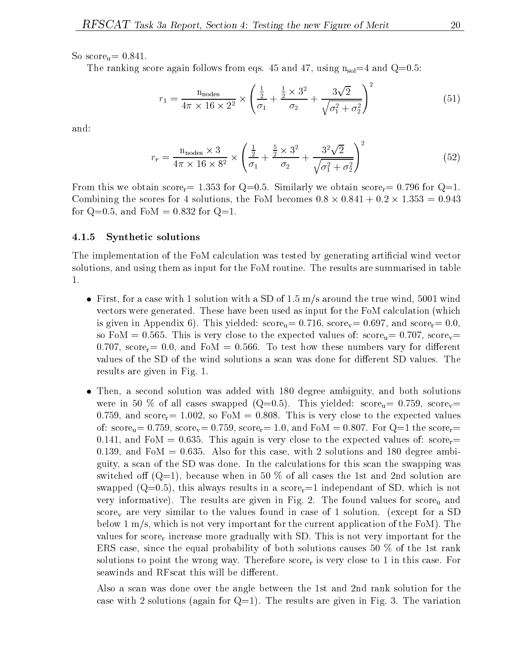So  $score_u = 0.841$ .

The ranking score again follows from eqs. 45 and 47, using  $n_{sol}=4$  and  $Q=0.5$ :

$$
r_1 = \frac{n_{\text{nodes}}}{4\pi \times 16 \times 2^2} \times \left(\frac{\frac{1}{2}}{\sigma_1} + \frac{\frac{1}{2} \times 3^2}{\sigma_2} + \frac{3\sqrt{2}}{\sqrt{\sigma_1^2 + \sigma_2^2}}\right)^2 \tag{51}
$$

and:

$$
r_r = \frac{n_{\text{nodes}} \times 3}{4\pi \times 16 \times 8^2} \times \left(\frac{\frac{1}{2}}{\sigma_1} + \frac{\frac{5}{2} \times 3^2}{\sigma_2} + \frac{3^2 \sqrt{2}}{\sqrt{\sigma_1^2 + \sigma_2^2}}\right)^2 \tag{52}
$$

From this we obtain score<sub>r</sub>= 1.353 for Q=0.5. Similarly we obtain score<sub>r</sub>= 0.796 for Q=1. Combining the scores for 4 solutions, the FoM becomes 0:8 - 0:841 + 0:2 - 1:353 = 0:943 for  $Q=0.5$ , and FoM = 0.832 for  $Q=1$ .

#### 4.1.5 Synthetic solutions

The implementation of the FoM calculation was tested by generating artificial wind vector solutions, and using them as input for the FoM routine. The results are summarised in table 1.

- First, for a case with 1 solution with a SD of  $1.5 \text{ m/s}$  around the true wind, 5001 wind vectors were generated. These have been used as input for the FoM calculation (which is given in Appendix 6). This yielded:  $score_u = 0.716$ ,  $score_v = 0.697$ , and  $score_r = 0.0$ , so FoM = 0.565. This is very close to the expected values of: score<sub>u</sub>= 0.707, score<sub>v</sub>= 0.707, score<sub>r</sub>= 0.0, and FoM = 0.566. To test how these numbers vary for different values of the SD of the wind solutions a scan was done for different SD values. The results are given in Fig. 1.
- Then, a second solution was added with 180 degree ambiguity, and both solutions were in 50 % of all cases swapped (Q=0.5). This yielded:  $score_u= 0.759$ ,  $score_v=$ 0.759, and score<sub>r</sub>= 1.002, so FoM = 0.808. This is very close to the expected values of:  $score<sub>u</sub> = 0.759$ ,  $score<sub>v</sub> = 0.759$ ,  $score<sub>r</sub> = 1.0$ , and  $FoM = 0.807$ . For  $Q=1$  the score<sub>r</sub>= 0.141, and FoM = 0.635. This again is very close to the expected values of: score,= 0.139, and FoM  $= 0.635$ . Also for this case, with 2 solutions and 180 degree ambiguity, a scan of the SD was done. In the calculations for this scan the swapping was switched of  $(Q=1)$ , because when in 50 % of all cases the 1st and 2nd solution are swapped  $(Q=0.5)$ , this always results in a score<sub>r</sub>=1 independant of SD, which is not very informative). The results are given in Fig. 2. The found values for  $score_u$  and scorev are very similar to the values found in case of <sup>1</sup> solution. (except for <sup>a</sup> SD below 1 m/s, which is not very important for the current application of the FoM). The values for score<sub>r</sub> increase more gradually with SD. This is not very important for the ERS case, since the equal probability of both solutions causes 50 % of the 1st rank solutions to point the wrong way. Therefore score, is very close to 1 in this case. For seawinds and RFscat this will be different.

Also a scan was done over the angle between the 1st and 2nd rank solution for the case with 2 solutions (again for  $Q=1$ ). The results are given in Fig. 3. The variation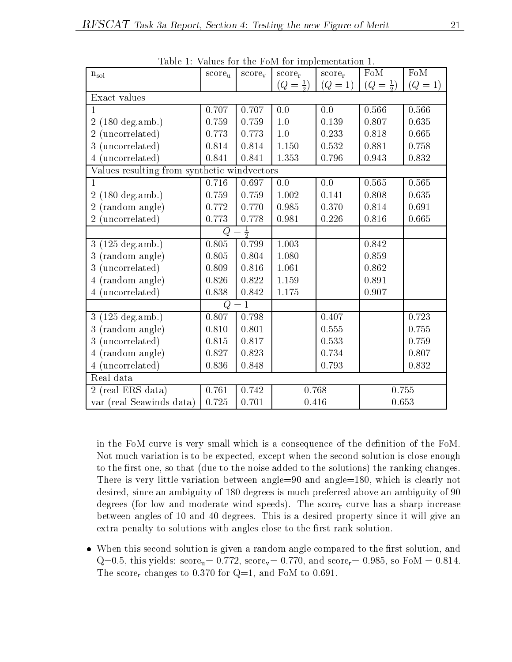|                                             |           |                    | rable 1. values for the Folvi for implementation 1. |           | FoM                 | FoM       |
|---------------------------------------------|-----------|--------------------|-----------------------------------------------------|-----------|---------------------|-----------|
| $n_{\rm sol}$                               | $score_u$ | $score_v$          | $score_r$                                           | $score_r$ |                     |           |
| Exact values                                |           |                    | $(Q = \frac{1}{2})$                                 | $(Q = 1)$ | $(Q = \frac{1}{2})$ | $(Q = 1)$ |
|                                             |           |                    |                                                     |           |                     |           |
| 1                                           | 0.707     | 0.707              | 0.0                                                 | 0.0       | 0.566               | 0.566     |
| $(180 \text{ deg.amb.})$<br>$\overline{2}$  | 0.759     | 0.759              | 1.0                                                 | 0.139     | 0.807               | 0.635     |
| (uncorrelated)<br>$\overline{2}$            | 0.773     | 0.773              | 1.0                                                 | 0.233     | 0.818               | 0.665     |
| (uncorrelated)<br>3                         | 0.814     | 0.814              | 1.150                                               | 0.532     | 0.881               | 0.758     |
| 4 (uncorrelated)                            | 0.841     | 0.841              | 1.353                                               | 0.796     | 0.943               | 0.832     |
| Values resulting from synthetic windvectors |           |                    |                                                     |           |                     |           |
| $\mathbf{1}$                                | 0.716     | 0.697              | 0.0                                                 | $0.0\,$   | 0.565               | 0.565     |
| $2(180 \text{ deg.amb.})$                   | 0.759     | 0.759              | 1.002                                               | 0.141     | 0.808               | 0.635     |
| (random angle)<br>2                         | 0.772     | 0.770              | 0.985                                               | 0.370     | 0.814               | 0.691     |
| (uncorrelated)<br>$\overline{2}$            | 0.773     | 0.778              | 0.981                                               | 0.226     | 0.816               | 0.665     |
|                                             | Q         | $=\frac{1}{2}$     |                                                     |           |                     |           |
| $(125 \text{ deg.amb.})$<br>3               | 0.805     | 0.799              | 1.003                                               |           | 0.842               |           |
| (random angle)<br>3                         | 0.805     | $0.804\,$          | 1.080                                               |           | 0.859               |           |
| (uncorrelated)<br>3                         | 0.809     | $0.816\,$          | 1.061                                               |           | $0.862\,$           |           |
| (random angle)                              | 0.826     | 0.822              | 1.159                                               |           | 0.891               |           |
| (uncorrelated)<br>4 (                       | 0.838     | 0.842              | $1.175\,$                                           |           | 0.907               |           |
|                                             | Q         | $=$ $\overline{1}$ |                                                     |           |                     |           |
| $3(125 \text{ deg.amb.})$                   | 0.807     | 0.798              |                                                     | 0.407     |                     | 0.723     |
| (random angle)<br>3                         | 0.810     | 0.801              |                                                     | $0.555\,$ |                     | 0.755     |
| (uncorrelated)<br>3                         | 0.815     | 0.817              |                                                     | 0.533     |                     | 0.759     |
| (random angle)                              | 0.827     | 0.823              |                                                     | 0.734     |                     | 0.807     |
| 4 (uncorrelated)                            | 0.836     | 0.848              |                                                     | 0.793     |                     | 0.832     |
| Real data                                   |           |                    |                                                     |           |                     |           |
| 2 (real ERS data)                           | 0.761     | 0.742              | 0.768                                               |           | 0.755               |           |
| var (real Seawinds data)                    | 0.725     | 0.701              | 0.416                                               |           | 0.653               |           |

Table 1: Values for the FoM for implementation  $1$ 

in the FoM curve is very small which is a consequence of the definition of the FoM. Not much variation is to be expected, except when the second solution is close enough to the first one, so that (due to the noise added to the solutions) the ranking changes. There is very little variation between angle=90 and angle=180, which is clearly not desired, since an ambiguity of 180 degrees is much preferred above an ambiguity of 90 degrees (for low and moderate wind speeds). The score, curve has a sharp increase between angles of 10 and 40 degrees. This is a desired property since it will give an extra penalty to solutions with angles close to the first rank solution.

• When this second solution is given a random angle compared to the first solution, and  $Q=0.5$ , this yields: score<sub>u</sub>= 0.772, score<sub>v</sub>= 0.770, and score<sub>r</sub>= 0.985, so FoM = 0.814. The score<sub>r</sub> changes to 0.370 for  $Q=1$ , and FoM to 0.691.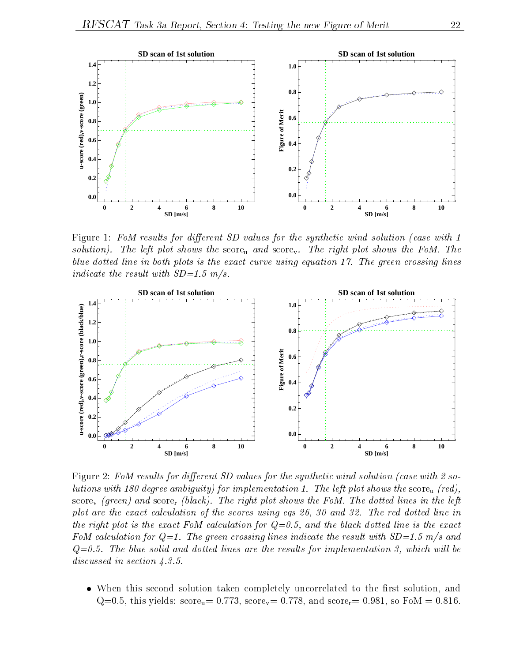

Figure 1: FoM results for different SD values for the synthetic wind solution (case with 1) solution). The left plot shows the scoreu and scorev. The right plot shows the FoM. The blue dotted line in both plots is the exact curve using equation 17. The green crossing lines indicate the result with SD=1.5 m/s.



Figure 2: FoM results for different SD values for the synthetic wind solution (case with 2 so $l$ utions with 100 degree amotydity) for implementation 1. The left plot shows the score<sub>u</sub> (red), score<sub>v</sub> (green) and score<sub>r</sub> (black). The right plot shows the FoM. The dotted lines in the left plot are the exact calculation of the scores using eqs 26, <sup>30</sup> and 32. The red dotted line in the right plot is the exact FoM calculation for Q=0.5, and the black dotted line is the exact  $\Gamma$  vin calculation for  $\omega=$ 1. The green crossing lines indicate the result with  $\omega\mu=$ 1.9 m/s and  $Q=0.9$ . The blue solid and dotted thes are the results for implementation 9, which will be  $Q=0.9$ discussed in section 4.3.5.

• When this second solution taken completely uncorrelated to the first solution, and  $Q=0.5$ , this yields: score<sub>u</sub>= 0.773, score<sub>v</sub>= 0.778, and score<sub>r</sub>= 0.981, so FoM = 0.816.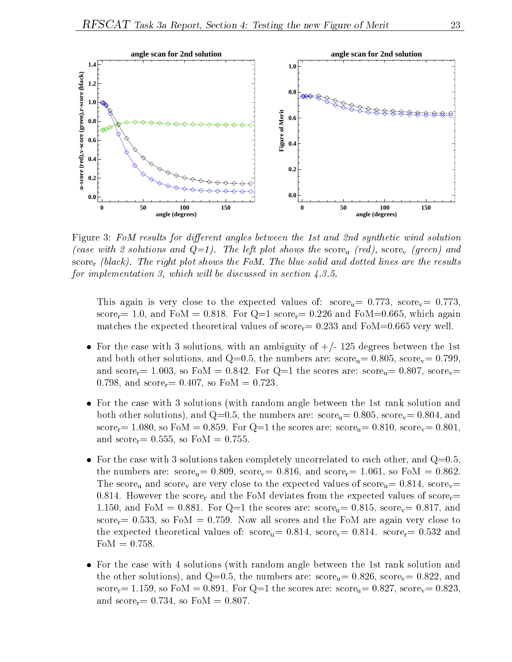

Figure 3: FoM results for different angles between the 1st and 2nd synthetic wind solution  $\alpha$  is a solution and  $\alpha$   $\alpha$  . The left plot shows the scoreu (red), scorev (green) and score<sub>r</sub> (black). The right plot shows the FoM. The blue solid and dotted lines are the results for implementation  $\sigma$ , which will be discussed in section 4.5.5.

This again is very close to the expected values of:  $score<sub>u</sub> = 0.773$ ,  $score<sub>v</sub> = 0.773$ , score<sub>r</sub> = 1.0, and FoM = 0.818. For  $Q=1$  score<sub>r</sub> = 0.226 and FoM = 0.665, which again matches the expected theoretical values of  $score_r = 0.233$  and  $FoM=0.665$  very well.

- For the case with 3 solutions, with an ambiguity of  $+/-125$  degrees between the 1st and both other solutions, and  $Q=0.5$ , the numbers are: score<sub>u</sub>= 0.805, score<sub>v</sub>= 0.799, and score<sub>r</sub>= 1.003, so FoM = 0.842. For Q=1 the scores are: score<sub>u</sub>= 0.807, score<sub>v</sub>= 0.798, and  $score_r = 0.407$ , so  $FoM = 0.723$ .
- For the case with 3 solutions (with random angle between the 1st rank solution and both other solutions), and Q=0.5, the numbers are:  $score_u= 0.805$ ,  $score_v= 0.804$ , and score<sub>r</sub>= 1.080, so FoM = 0.859. For Q=1 the scores are: score<sub>u</sub>= 0.810, score<sub>v</sub>= 0.801, and score<sub>r</sub> = 0.555, so FoM = 0.755.
- For the case with 3 solutions taken completely uncorrelated to each other, and  $Q=0.5$ , the numbers are:  $score_u= 0.809$ ,  $score_v= 0.816$ , and  $score_r= 1.061$ , so  $FoM = 0.862$ . The score<sub>u</sub> and score<sub>v</sub> are very close to the expected values of score<sub>u</sub>= 0.814, score<sub>v</sub>= 0.814. However the score<sub>r</sub> and the FoM deviates from the expected values of score<sub>r</sub>= 1.150, and FoM = 0.881. For Q=1 the scores are:  $score_u= 0.815$ ,  $score_v= 0.817$ , and score<sub>r</sub> = 0.533, so FoM = 0.759. Now all scores and the FoM are again very close to the expected theoretical values of:  $score_u = 0.814$ ,  $score_v = 0.814$ .  $score_r = 0.532$  and  $FoM = 0.758$ .
- For the case with 4 solutions (with random angle between the 1st rank solution and the other solutions), and  $Q=0.5$ , the numbers are:  $score_u= 0.826$ ,  $score_v= 0.822$ , and score<sub>r</sub>= 1.159, so FoM = 0.891. For Q=1 the scores are: score<sub>u</sub>= 0.827, score<sub>v</sub>= 0.823, and  $score_r = 0.734$ , so  $FoM = 0.807$ .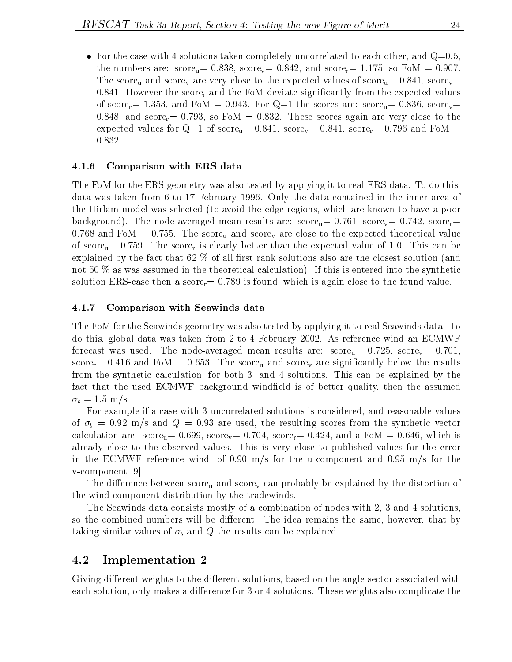For the case with 4 solutions taken completely uncorrelated to each other, and  $Q=0.5$ , the numbers are:  $score_u= 0.838$ ,  $score_v= 0.842$ , and  $score_r= 1.175$ , so  $FoM = 0.907$ . The score<sub>u</sub> and score<sub>v</sub> are very close to the expected values of score<sub>u</sub>= 0.841, score<sub>v</sub>= 0.841. However the score<sub>r</sub> and the FoM deviate significantly from the expected values of score<sub>r</sub>= 1.353, and FoM = 0.943. For Q=1 the scores are: score<sub>u</sub>= 0.836, score<sub>v</sub>= 0.848, and score<sub>r</sub>= 0.793, so FoM = 0.832. These scores again are very close to the expected values for  $Q=1$  of score<sub>u</sub>= 0.841, score<sub>v</sub>= 0.841, score<sub>r</sub>= 0.796 and FoM = 0.832.

#### 4.1.6 Comparison with ERS data

The FoM for the ERS geometry was also tested by applying it to real ERS data. To do this, data was taken from 6 to 17 February 1996. Only the data contained in the inner area of the Hirlam model was selected (to avoid the edge regions, which are known to have a poor background). The node-averaged mean results are:  $score_u = 0.761$ ,  $score_v = 0.742$ ,  $score_v =$ 0.768 and FoM = 0.755. The score<sub>u</sub> and score<sub>v</sub> are close to the expected theoretical value of score<sub>u</sub>= 0.759. The score<sub>r</sub> is clearly better than the expected value of 1.0. This can be explained by the fact that  $62\%$  of all first rank solutions also are the closest solution (and not 50 % as was assumed in the theoretical calculation). If this is entered into the synthetic solution ERS-case then a score<sub>r</sub>= 0.789 is found, which is again close to the found value.

#### 4.1.7 Comparison with Seawinds data

The FoM for the Seawinds geometry was also tested by applying it to real Seawinds data. To do this, global data was taken from 2 to 4 February 2002. As reference wind an ECMWF forecast was used. The node-averaged mean results are:  $score_u= 0.725$ ,  $score_v= 0.701$ , score<sub>r</sub> = 0.416 and FoM = 0.653. The score<sub>u</sub> and score<sub>v</sub> are significantly below the results from the synthetic calculation, for both 3- and 4 solutions. This can be explained by the fact that the used ECMWF background windfield is of better quality, then the assumed  $\sigma_b = 1.5$  m/s.

For example if a case with 3 uncorrelated solutions is considered, and reasonable values of  $\sigma_b = 0.92$  m/s and  $Q = 0.93$  are used, the resulting scores from the synthetic vector calculation are:  $score_u = 0.699$ ,  $score_v = 0.704$ ,  $score_r = 0.424$ , and a FoM = 0.646, which is already close to the observed values. This is very close to published values for the error in the ECMWF reference wind, of 0.90 m/s for the u-component and 0.95 m/s for the v-component [9].

The difference between score<sub>u</sub> and score<sub>v</sub> can probably be explained by the distortion of the wind component distribution by the tradewinds.

The Seawinds data consists mostly of a combination of nodes with 2, 3 and 4 solutions, so the combined numbers will be different. The idea remains the same, however, that by taking similar values of  $\sigma_b$  and Q the results can be explained.

#### 4.2 Implementation <sup>2</sup>

Giving different weights to the different solutions, based on the angle-sector associated with each solution, only makes a difference for 3 or 4 solutions. These weights also complicate the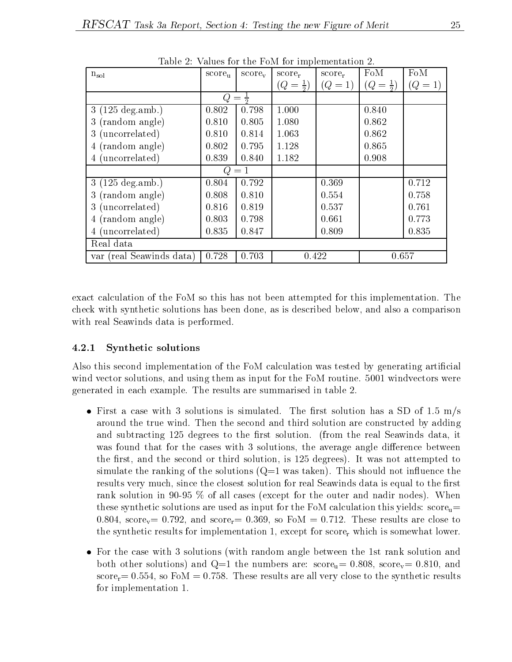| rapic $\omega$ . varues for the role for implementation $\omega$ . |             |           |                     |           |                     |            |  |
|--------------------------------------------------------------------|-------------|-----------|---------------------|-----------|---------------------|------------|--|
| $n_{\rm sol}$                                                      | $score_{u}$ | $score_v$ | $score_r$           | $score_r$ | FoM                 | FoM        |  |
|                                                                    |             |           | $(Q = \frac{1}{2})$ | $(Q = 1)$ | $(Q = \frac{1}{2})$ | $=1)$<br>Q |  |
|                                                                    | $Q =$       |           |                     |           |                     |            |  |
| $3(125 \text{ deg.amb.})$                                          | 0.802       | 0.798     | 1.000               |           | 0.840               |            |  |
| 3 (random angle)                                                   | 0.810       | 0.805     | 1.080               |           | 0.862               |            |  |
| (uncorrelated)<br>3                                                | 0.810       | 0.814     | 1.063               |           | 0.862               |            |  |
| (random angle)<br>4                                                | 0.802       | 0.795     | 1.128               |           | 0.865               |            |  |
| (uncorrelated)<br>4                                                | 0.839       | 0.840     | 1.182               |           | 0.908               |            |  |
|                                                                    | $Q=1$       |           |                     |           |                     |            |  |
| $3(125 \text{ deg.amb.})$                                          | 0.804       | 0.792     |                     | 0.369     |                     | 0.712      |  |
| (random angle)<br>3 <sup>1</sup>                                   | 0.808       | 0.810     |                     | 0.554     |                     | 0.758      |  |
| (uncorrelated)<br>3 <sub>1</sub>                                   | 0.816       | 0.819     |                     | 0.537     |                     | 0.761      |  |
| (random angle)<br>4                                                | 0.803       | 0.798     |                     | 0.661     |                     | 0.773      |  |
| (uncorrelated)                                                     | 0.835       | 0.847     |                     | 0.809     |                     | 0.835      |  |
| Real data                                                          |             |           |                     |           |                     |            |  |
| var (real Seawinds data)                                           | 0.728       | 0.703     | 0.422               |           | 0.657               |            |  |

Table 2: Values for the FoM for implementation  $2$ 

exact calculation of the FoM so this has not been attempted for this implementation. The check with synthetic solutions has been done, as is described below, and also a comparison with real Seawinds data is performed.

#### 4.2.1 Synthetic solutions

Also this second implementation of the FoM calculation was tested by generating artificial wind vector solutions, and using them as input for the FoM routine. 5001 windvectors were generated in each example. The results are summarised in table 2.

- First a case with 3 solutions is simulated. The first solution has a SD of 1.5 m/s around the true wind. Then the second and third solution are constructed by adding and subtracting 125 degrees to the first solution. (from the real Seawinds data, it was found that for the cases with 3 solutions, the average angle difference between the first, and the second or third solution, is 125 degrees). It was not attempted to simulate the ranking of the solutions  $(Q=1$  was taken). This should not influence the results very much, since the closest solution for real Seawinds data is equal to the first rank solution in 90-95 % of all cases (except for the outer and nadir nodes). When these synthetic solutions are used as input for the FoM calculation this yields:  $score_u=$ 0.804, score<sub>v</sub>= 0.792, and score<sub>r</sub>= 0.369, so FoM = 0.712. These results are close to the synthetic results for implementation 1, except for score, which is somewhat lower.
- For the case with 3 solutions (with random angle between the 1st rank solution and both other solutions) and  $Q=1$  the numbers are:  $score_u= 0.808$ ,  $score_v= 0.810$ , and  $score_r = 0.554$ , so  $F \circ M = 0.758$ . These results are all very close to the synthetic results for implementation 1.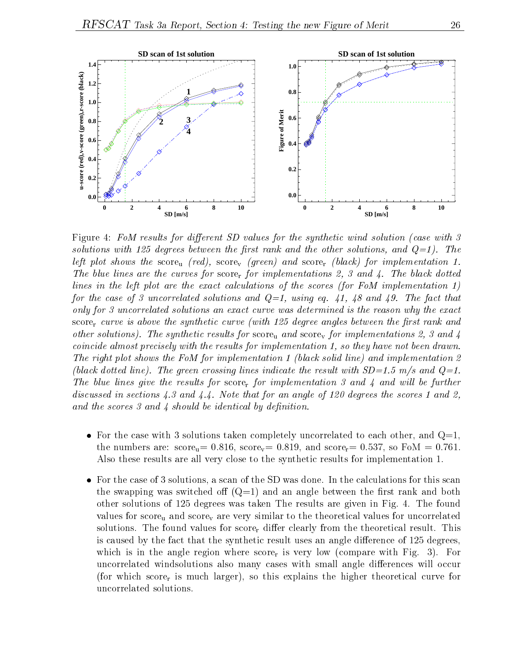

Figure 4: FoM results for different SD values for the synthetic wind solution (case with 3 solutions with <sup>125</sup> degrees between the rst rank and the other solutions, and Q=1). The left plot shows the scoreu (red), scorev (green) and scorer (black) for implementation 1. The blue lines are the curves  $f$  in correl  $f$  in and  $\mu$  increases  $\alpha$  , 3 and 4. The form black dotted dotted lines in the left plot are the exact calculations of the scores (for FoM implementation 1) for the case of <sup>3</sup> uncorrelated solutions and Q=1, using eq. 41, <sup>48</sup> and 49. The fact that  $\sigma$  and for 3 uncorrelated solutions an exact curve was actermined is the reason why the exact  $\sigma$  $\text{score}_r$  curve is above the synthetic curve (with 125 degree angles between the first rank and  $\sigma$  solutions). The symmetre results for score $_{\rm ll}$  and score<sub>v</sub> for implementations  $z,$  3 and 4 coincide almost precisely with the results for implementation 1, so they have not been drawn.The function  $\sigma$  shows the FoM for implementation in the solid their and implementation  $z$ (black dotted the green crossing different crossing lines indicated the result with  $\omega=1.5$  m/s  $\omega=1.5$ The blue lines give the results for score<sub>r</sub> for implementation  $\sigma$  and  $\mu$  and will be further discussed in section 4.3 and 4.4. Note that for an and 4.4. And 2, 120 degrees the score scores the scores 1 and and the scores <sup>3</sup> and <sup>4</sup> should be identical by denition.

- For the case with 3 solutions taken completely uncorrelated to each other, and  $Q=1$ , the numbers are:  $score<sub>u</sub> = 0.816$ ,  $score<sub>v</sub> = 0.819$ , and  $score<sub>r</sub> = 0.537$ , so FoM = 0.761. Also these results are all very close to the synthetic results for implementation 1.
- For the case of 3 solutions, a scan of the SD was done. In the calculations for this scan the swapping was switched of  $(Q=1)$  and an angle between the first rank and both other solutions of 125 degrees was taken The results are given in Fig. 4. The found values for score<sub>u</sub> and score<sub>v</sub> are very similar to the theoretical values for uncorrelated solutions. The found values for score<sub>r</sub> differ clearly from the theoretical result. This is caused by the fact that the synthetic result uses an angle difference of 125 degrees, which is in the angle region where  $score<sub>r</sub>$  is very low (compare with Fig. 3). For uncorrelated windsolutions also many cases with small angle differences will occur (for which score<sub>r</sub> is much larger), so this explains the higher theoretical curve for uncorrelated solutions.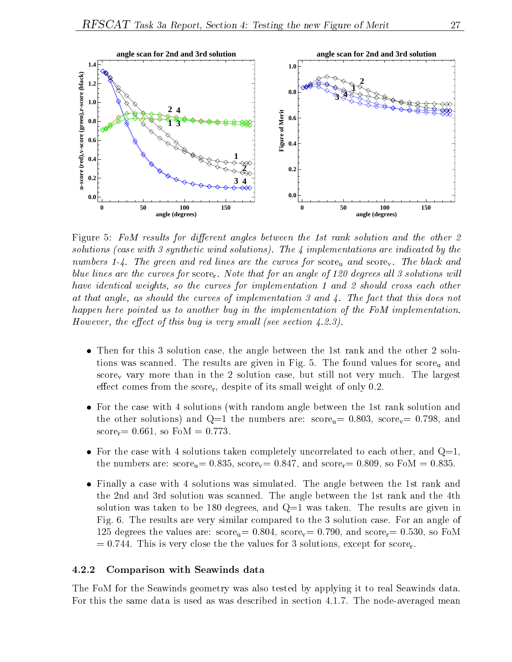

Figure 5: FoM results for different angles between the 1st rank solution and the other 2 strutions (cast with 9 synthetic within strutions). The 4 imprecitations are indicated by the indicated by the numbers 1-4. The green and red lines are the curves for scoreu and scorev . The black and blue lines are the curves for scorer. Note that for an angle of 120 degrees al l 3 solutions wil l have identical weights, so the curves for implementation <sup>1</sup> and <sup>2</sup> should cross each other at that the property that the curve should the curves of interesting  $\alpha$  and  $\alpha$  and  $\alpha$  and  $\alpha$  and  $\alpha$  and  $\alpha$ happen here pointed us to another bug in the implementation of the FoM implementation.  $H$ owever, the effect of this bug is very small fole section 4.2.9).

- Then for this 3 solution case, the angle between the 1st rank and the other 2 solutions was scanned. The results are given in Fig. 5. The found values for  $score_u$  and  $score<sub>v</sub>$  vary more than in the 2 solution case, but still not very much. The largest effect comes from the score<sub>r</sub>, despite of its small weight of only 0.2.
- For the case with 4 solutions (with random angle between the 1st rank solution and the other solutions) and Q=1 the numbers are:  $score_u= 0.803$ ,  $score_v= 0.798$ , and score<sub>r</sub>= 0.661, so FoM = 0.773.
- For the case with 4 solutions taken completely uncorrelated to each other, and  $Q=1$ , the numbers are:  $score_u= 0.835$ ,  $score_v= 0.847$ , and  $score_r= 0.809$ , so  $FoM = 0.835$ .
- Finally a case with 4 solutions was simulated. The angle between the 1st rank and the 2nd and 3rd solution was scanned. The angle between the 1st rank and the 4th solution was taken to be 180 degrees, and  $Q=1$  was taken. The results are given in Fig. 6. The results are very similar compared to the 3 solution case. For an angle of 125 degrees the values are:  $score_u = 0.804$ ,  $score_v = 0.790$ , and  $score_r = 0.530$ , so FoM  $= 0.744$ . This is very close the the values for 3 solutions, except for score,

#### 4.2.2 Comparison with Seawinds data

The FoM for the Seawinds geometry was also tested by applying it to real Seawinds data. For this the same data is used as was described in section 4.1.7. The node-averaged mean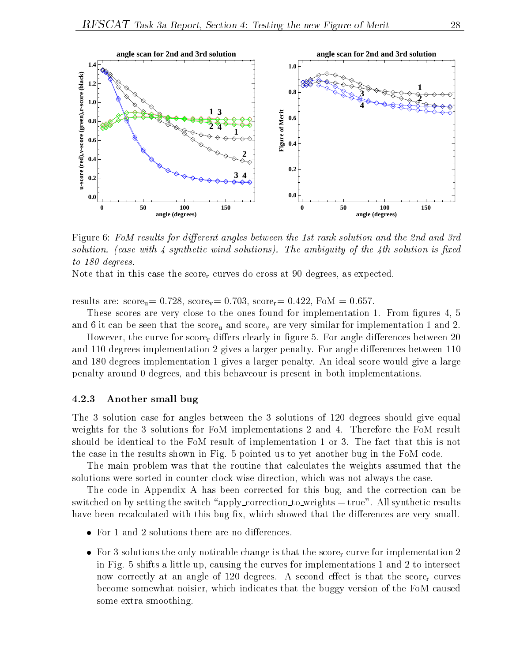

Figure 6: FoM results for different angles between the 1st rank solution and the 2nd and 3rd solution. I case with 4 synthetic winds conduction is the ambiguity of the 4th solution in the 4th solution is to <sup>180</sup> degrees.

Note that in this case the scorer curves do cross at 90 degrees, as expected.

results are:  $score_{u} = 0.728$ ,  $score_{v} = 0.703$ ,  $score_{r} = 0.422$ , FoM = 0.657.

These scores are very close to the ones found for implementation 1. From figures 4, 5 and 6 it can be seen that the score<sub>u</sub> and score<sub>v</sub> are very similar for implementation 1 and 2.

However, the curve for score<sub>r</sub> differs clearly in figure 5. For angle differences between 20 and 110 degrees implementation 2 gives a larger penalty. For angle differences between 110 and 180 degrees implementation 1 gives a larger penalty. An ideal score would give a large penalty around 0 degrees, and this behaveour is present in both implementations.

#### 4.2.3 Another small bug

The 3 solution case for angles between the 3 solutions of 120 degrees should give equal weights for the 3 solutions for FoM implementations 2 and 4. Therefore the FoM result should be identical to the FoM result of implementation 1 or 3. The fact that this is not the case in the results shown in Fig. 5 pointed us to yet another bug in the FoM code.

The main problem was that the routine that calculates the weights assumed that the solutions were sorted in counter-clock-wise direction, which was not always the case.

The code in Appendix A has been corrected for this bug, and the correction can be switched on by setting the switch "apply correction to weights  $=$  true". All synthetic results have been recalculated with this bug fix, which showed that the differences are very small.

- For 1 and 2 solutions there are no differences.
- For 3 solutions the only noticable change is that the score, curve for implementation 2 in Fig. 5 shifts a little up, causing the curves for implementations 1 and 2 to intersect now correctly at an angle of 120 degrees. A second effect is that the score, curves become somewhat noisier, which indicates that the buggy version of the FoM caused some extra smoothing.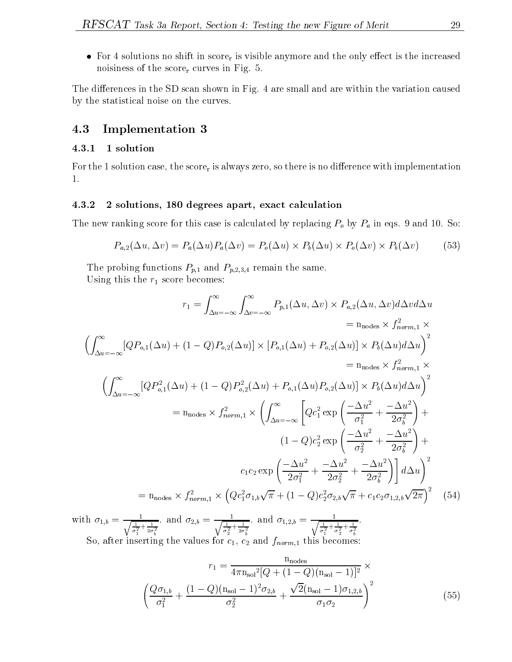• For 4 solutions no shift in score<sub>r</sub> is visible anymore and the only effect is the increased noisiness of the scorer curves in Fig. 5.

The differences in the SD scan shown in Fig. 4 are small and are within the variation caused by the statistical noise on the curves.

#### 4.3 Implementation <sup>3</sup>

#### 4.3.1 1 solution

For the 1 solution case, the score, is always zero, so there is no difference with implementation 1.

#### 4.3.2 2 solutions, 180 degrees apart, exact calculation

The new ranking score for this case is calculated by replacing  $P_o$  by  $P_a$  in eqs. 9 and 10. So:

$$
P_{a,2}(\Delta u, \Delta v) = P_a(\Delta u) P_a(\Delta v) = P_o(\Delta u) \times P_b(\Delta u) \times P_o(\Delta v) \times P_b(\Delta v)
$$
(53)

The probing functions  $P_{p,1}$  and  $P_{p,2,3,4}$  remain the same.

Using this the  $r_1$  score becomes:

$$
r_1 = \int_{\Delta u = -\infty}^{\infty} \int_{\Delta v = -\infty}^{\infty} P_{p,1}(\Delta u, \Delta v) \times P_{a,2}(\Delta u, \Delta v) d\Delta v d\Delta u
$$
  
\n
$$
= n_{\text{nodes}} \times f_{norm,1}^2 \times
$$
  
\n
$$
\left( \int_{\Delta u = -\infty}^{\infty} [QP_{o,1}(\Delta u) + (1 - Q)P_{o,2}(\Delta u)] \times [P_{o,1}(\Delta u) + P_{o,2}(\Delta u)] \times P_b(\Delta u) d\Delta u \right)^2
$$
  
\n
$$
= n_{\text{nodes}} \times f_{norm,1}^2 \times
$$
  
\n
$$
\left( \int_{\Delta u = -\infty}^{\infty} [QP_{o,1}^2(\Delta u) + (1 - Q)P_{o,2}^2(\Delta u) + P_{o,1}(\Delta u)P_{o,2}(\Delta u)] \times P_b(\Delta u) d\Delta u \right)^2
$$
  
\n
$$
= n_{\text{nodes}} \times f_{norm,1}^2 \times \left( \int_{\Delta u = -\infty}^{\infty} \left[ Qc_1^2 \exp\left(\frac{-\Delta u^2}{\sigma_1^2} + \frac{-\Delta u^2}{2\sigma_0^2}\right) + (1 - Q)c_2^2 \exp\left(\frac{-\Delta u^2}{\sigma_2^2} + \frac{-\Delta u^2}{2\sigma_0^2}\right) + (1 - Q)c_2^2 \exp\left(\frac{-\Delta u^2}{2\sigma_1^2} + \frac{-\Delta u^2}{2\sigma_2^2} + \frac{-\Delta u^2}{2\sigma_0^2}\right) \right] d\Delta u \right)^2
$$
  
\n
$$
= n_{\text{nodes}} \times f_{norm,1}^2 \times \left( Qc_1^2 \sigma_{1,b} \sqrt{\pi} + (1 - Q)c_2^2 \sigma_{2,b} \sqrt{\pi} + c_1 c_2 \sigma_{1,2,b} \sqrt{2\pi} \right)^2 \quad (54)
$$

with  $\sigma_{1,b} = \frac{1}{\sqrt{1-\frac{1}{2}}}$  and  $\sigma_i$  $\frac{1}{\sigma_1^2} + \frac{1}{2\sigma_b^2}$ . and  $\sigma_{2,b} = \frac{1}{\sqrt{1-\frac{1}{a}}}\$ . and  $\sigma_1$  $\frac{\sigma_2^2}{2^2} + \frac{1}{2\sigma_b^2}$ . and  $\sigma_{1,2,b} = \frac{1}{\sqrt{1-\frac{1}{2}}}$ .  $\frac{1}{\sigma_1^2} + \frac{1}{\sigma_2^2} + \frac{1}{\sigma_b^2}$  $S$  , and insert inserting the values for c1, c2 and fn  $I$  this becomes for constant in  $S$ 

$$
r_1 = \frac{n_{\text{nodes}}}{4\pi n_{\text{sol}}^2 [Q + (1 - Q)(n_{\text{sol}} - 1)]^2} \times \left(\frac{Q\sigma_{1,b}}{\sigma_1^2} + \frac{(1 - Q)(n_{\text{sol}} - 1)^2 \sigma_{2,b}}{\sigma_2^2} + \frac{\sqrt{2}(n_{\text{sol}} - 1)\sigma_{1,2,b}}{\sigma_1 \sigma_2}\right)^2 \tag{55}
$$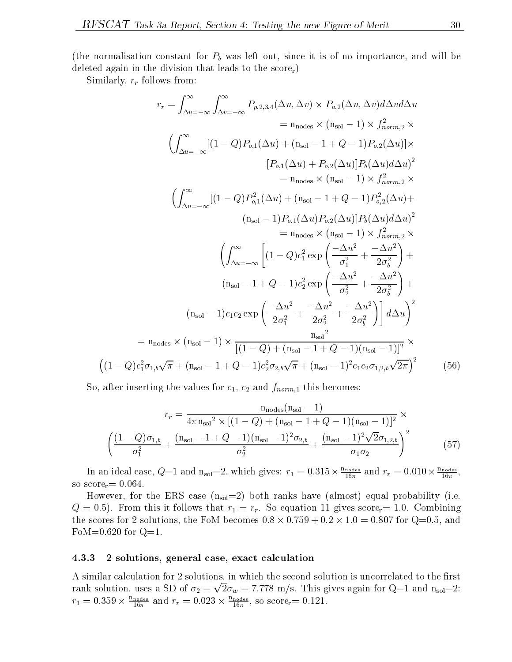(the normalisation constant for  $P_b$  was left out, since it is of no importance, and will be deleted again in the division that leads to the scorer)

Similarly,  $r_r$  follows from:

$$
r_r = \int_{\Delta u = -\infty}^{\infty} \int_{\Delta v = -\infty}^{\infty} P_{p,2,3,4}(\Delta u, \Delta v) \times P_{a,2}(\Delta u, \Delta v) d\Delta v d\Delta u
$$
  
\n
$$
= n_{nodes} \times (n_{sol} - 1) \times f_{norm,2}^2 \times
$$
  
\n
$$
\left( \int_{\Delta u = -\infty}^{\infty} [(1 - Q)P_{o,1}(\Delta u) + (n_{sol} - 1 + Q - 1)P_{o,2}(\Delta u)] \times
$$
  
\n
$$
[P_{o,1}(\Delta u) + P_{o,2}(\Delta u)]P_b(\Delta u) d\Delta u)^2
$$
  
\n
$$
= n_{nodes} \times (n_{sol} - 1) \times f_{norm,2}^2 \times
$$
  
\n
$$
\left( \int_{\Delta u = -\infty}^{\infty} [(1 - Q)P_{o,1}^2(\Delta u) + (n_{sol} - 1 + Q - 1)P_{o,2}^2(\Delta u) + (n_{sol} - 1)P_{o,1}(\Delta u)P_{o,2}(\Delta u)]P_b(\Delta u) d\Delta u \right)^2
$$
  
\n
$$
= n_{nodes} \times (n_{sol} - 1) \times f_{norm,2}^2 \times
$$
  
\n
$$
\left( \int_{\Delta u = -\infty}^{\infty} [(1 - Q)c_1^2 \exp\left(\frac{-\Delta u^2}{\sigma_1^2} + \frac{-\Delta u^2}{2\sigma_0^2}\right) + (n_{sol} - 1 + Q - 1)c_2^2 \exp\left(\frac{-\Delta u^2}{\sigma_2^2} + \frac{-\Delta u^2}{2\sigma_0^2}\right) + (n_{sol} - 1)c_1c_2 \exp\left(\frac{-\Delta u^2}{2\sigma_1^2} + \frac{-\Delta u^2}{2\sigma_2^2}\right) d\Delta u \right)^2
$$
  
\n
$$
= n_{nodes} \times (n_{sol} - 1) \times \frac{n_{sol}^2}{[(1 - Q) + (n_{sol} - 1 + Q - 1)(n_{sol} - 1)]^2} \times
$$
  
\n
$$
\left( (1 - Q)c_1^2 \sigma_{1,b} \sqrt{\pi} + (n_{sol} - 1 + Q -
$$

So, after inserting the values for  $c_1$ ,  $c_2$  and  $f_{norm,1}$  this becomes:

$$
r_r = \frac{n_{\text{nodes}}(n_{\text{sol}} - 1)}{4\pi n_{\text{sol}}^2 \times [(1 - Q) + (n_{\text{sol}} - 1 + Q - 1)(n_{\text{sol}} - 1)]^2} \times \left(\frac{(1 - Q)\sigma_{1,b}}{\sigma_1^2} + \frac{(n_{\text{sol}} - 1 + Q - 1)(n_{\text{sol}} - 1)^2 \sigma_{2,b}}{\sigma_2^2} + \frac{(n_{\text{sol}} - 1)^2 \sqrt{2}\sigma_{1,2,b}}{\sigma_1 \sigma_2}\right)^2 \tag{57}
$$

In an ideal case,  $Q=1$  and  $n_{sol}=2$ , which gives:  $r_1=0.315\times\frac{100\pi}{16\pi}$  and  $r_r=0.010\times\frac{100\pi}{16\pi}$ , so  $score_r = 0.064$ .

However, for the ERS case  $(n_{sol}=2)$  both ranks have (almost) equal probability (i.e.  $Q = 0.5$ ). From this it follows that  $r_1 = r_r$ . So equation 11 gives score<sub>r</sub>= 1.0. Combining the scores for 2 solutions, the Fom becomes 0:8 - 0:1 00 - 0:2 - 0:2 - 0:001 for Q\_0.5, and A control  $FoM = 0.620$  for  $Q = 1$ .

#### 4.3.3 2 solutions, general case, exact calculation

A similar calculation for 2 solutions, in which the second solution is uncorrelated to the first rank solution, uses a SD of  $\sigma_2 = \sqrt{2}\sigma_w = 7.778$  m/s. This gives again for Q=1 and n<sub>sol</sub>=2:  $r_1 = 0.359 \times \frac{2000 \text{ s}}{16 \pi}$  and  $r_r = 0.023 \times \frac{2000 \text{ s}}{16 \pi}$ , so score<sub>r</sub>= 0.121.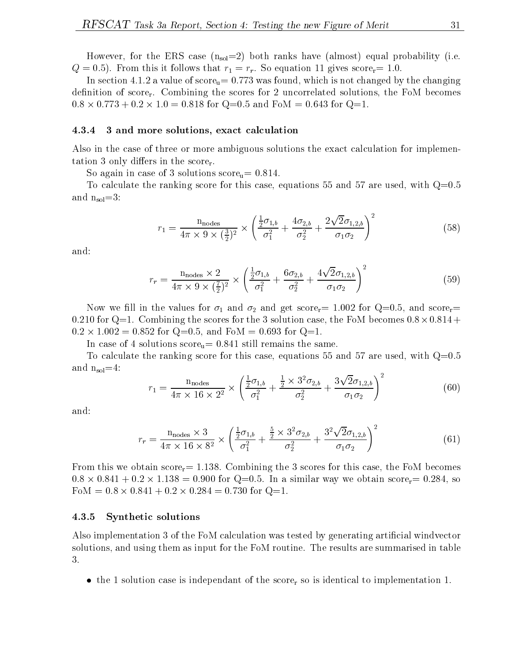However, for the ERS case  $(n_{sol}=2)$  both ranks have (almost) equal probability (i.e.  $Q = 0.5$ . From this it follows that  $r_1 = r_r$ . So equation 11 gives score<sub>r</sub>= 1.0.

In section 4.1.2 a value of  $score_u= 0.773$  was found, which is not changed by the changing definition of score,. Combining the scores for 2 uncorrelated solutions, the FoM becomes 0:8 - 0:773 + 0:2 - 1:0=0:818 for Q=0.5 and FoM = 0.643 for Q=1.

#### 4.3.4 3 and more solutions, exact calculation

Also in the case of three or more ambiguous solutions the exact calculation for implementation 3 only differs in the score,.

So again in case of 3 solutions score<sub>u</sub>=  $0.814$ .

To calculate the ranking score for this case, equations 55 and 57 are used, with  $Q=0.5$ and  $n_{sol}=3$ :

$$
r_1 = \frac{n_{\text{nodes}}}{4\pi \times 9 \times (\frac{3}{2})^2} \times \left(\frac{\frac{1}{2}\sigma_{1,b}}{\sigma_1^2} + \frac{4\sigma_{2,b}}{\sigma_2^2} + \frac{2\sqrt{2}\sigma_{1,2,b}}{\sigma_1 \sigma_2}\right)^2 \tag{58}
$$

and:

$$
r_r = \frac{n_{\text{nodes}} \times 2}{4\pi \times 9 \times (\frac{7}{2})^2} \times \left(\frac{\frac{1}{2}\sigma_{1,b}}{\sigma_1^2} + \frac{6\sigma_{2,b}}{\sigma_2^2} + \frac{4\sqrt{2}\sigma_{1,2,b}}{\sigma_1 \sigma_2}\right)^2 \tag{59}
$$

Now we fill in the values for  $\sigma_1$  and  $\sigma_2$  and get score<sub>r</sub>= 1.002 for Q=0.5, and score<sub>r</sub>= 0:220 for Q=1. Combining the scores for the 3 solution case, the 2 solution case, the FoM becomes  $0$ 0:2 - 1:002 = 0:852 for Q=0.5, and FoM = 0.693 for Q=1.

In case of 4 solutions  $score_u = 0.841$  still remains the same.

To calculate the ranking score for this case, equations 55 and 57 are used, with  $Q=0.5$ and  $n_{\rm sol}=4$ :

$$
r_1 = \frac{n_{\text{nodes}}}{4\pi \times 16 \times 2^2} \times \left(\frac{\frac{1}{2}\sigma_{1,b}}{\sigma_1^2} + \frac{\frac{1}{2} \times 3^2 \sigma_{2,b}}{\sigma_2^2} + \frac{3\sqrt{2}\sigma_{1,2,b}}{\sigma_1 \sigma_2}\right)^2 \tag{60}
$$

and:

$$
r_r = \frac{n_{\text{nodes}} \times 3}{4\pi \times 16 \times 8^2} \times \left(\frac{\frac{1}{2}\sigma_{1,b}}{\sigma_1^2} + \frac{\frac{5}{2} \times 3^2 \sigma_{2,b}}{\sigma_2^2} + \frac{3^2 \sqrt{2}\sigma_{1,2,b}}{\sigma_1 \sigma_2}\right)^2 \tag{61}
$$

From this we obtain  $score_r = 1.138$ . Combining the 3 scores for this case, the FoM becomes 0:8 - 0:841 + 0:2 - 1:138 = 0:900 for Q=0.5. In a similar way we obtain scorer= 0.284, so FoM = 0:8 - 0:841 + 0:2 - 0:284 = 0:730 for Q=1.

#### 4.3.5 Synthetic solutions

Also implementation 3 of the FoM calculation was tested by generating articial windvector solutions, and using them as input for the FoM routine. The results are summarised in table 3.

 $\bullet$  the 1 solution case is independant of the score<sub>r</sub> so is identical to implementation 1.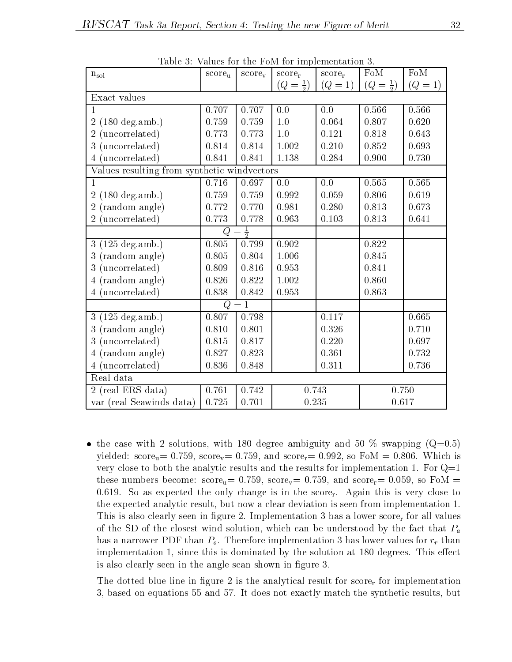|                                             |                    |           | rable 5. values for the roll for implementation 5. |           |                     |           |
|---------------------------------------------|--------------------|-----------|----------------------------------------------------|-----------|---------------------|-----------|
| $n_{\rm sol}$                               | score <sub>u</sub> | $score_v$ | $score_r$                                          | $score_r$ | FoM                 | FoM       |
|                                             |                    |           | $(Q = \frac{1}{2})$                                | $(Q = 1)$ | $(Q = \frac{1}{2})$ | $(Q=1)$   |
| Exact values                                |                    |           |                                                    |           |                     |           |
| $\mathbf{1}$                                | 0.707              | 0.707     | 0.0                                                | 0.0       | 0.566               | 0.566     |
| $(180 \text{ deg.amb.})$<br>$\overline{2}$  | 0.759              | 0.759     | 1.0                                                | 0.064     | 0.807               | 0.620     |
| (uncorrelated)<br>$\overline{2}$            | 0.773              | 0.773     | 1.0                                                | 0.121     | 0.818               | 0.643     |
| (uncorrelated)<br>3                         | 0.814              | 0.814     | 1.002                                              | 0.210     | 0.852               | 0.693     |
| (uncorrelated)<br>4                         | 0.841              | 0.841     | 1.138                                              | 0.284     | 0.900               | 0.730     |
| Values resulting from synthetic windvectors |                    |           |                                                    |           |                     |           |
| $\mathbf{1}$                                | 0.716              | 0.697     | 0.0                                                | $0.0\,$   | 0.565               | 0.565     |
| $(180 \text{ deg.amb.})$<br>$\overline{2}$  | 0.759              | 0.759     | $0.992\,$                                          | 0.059     | 0.806               | $0.619\,$ |
| (random angle)<br>$\overline{2}$            | 0.772              | 0.770     | 0.981                                              | 0.280     | 0.813               | 0.673     |
| (uncorrelated)                              | 0.773              | 0.778     | 0.963                                              | 0.103     | 0.813               | 0.641     |
|                                             | $Q = \frac{1}{2}$  |           |                                                    |           |                     |           |
| $3(125 \text{ deg.amb.})$                   | 0.805              | 0.799     | 0.902                                              |           | 0.822               |           |
| (random angle)<br>3                         | 0.805              | $0.804\,$ | 1.006                                              |           | 0.845               |           |
| (uncorrelated)<br>3                         | 0.809              | 0.816     | 0.953                                              |           | 0.841               |           |
| (random angle)                              | 0.826              | $0.822\,$ | 1.002                                              |           | 0.860               |           |
| (uncorrelated)<br>4                         | 0.838              | 0.842     | 0.953                                              |           | 0.863               |           |
|                                             |                    | $Q=1$     |                                                    |           |                     |           |
| $3(125 \text{ deg.}amb.)$                   | 0.807              | 0.798     |                                                    | 0.117     |                     | 0.665     |
| (random angle)<br>3                         | 0.810              | $0.801\,$ |                                                    | 0.326     |                     | 0.710     |
| (uncorrelated)<br>3                         | 0.815              | 0.817     |                                                    | 0.220     |                     | 0.697     |
| (random angle)                              | 0.827              | 0.823     |                                                    | 0.361     |                     | 0.732     |
| (uncorrelated)                              | 0.836              | 0.848     |                                                    | $0.311\,$ |                     | 0.736     |
| Real data                                   |                    |           |                                                    |           |                     |           |
| 2 (real ERS data)                           | 0.761              | 0.742     | 0.743                                              |           | 0.750               |           |
| var (real Seawinds data)                    | 0.725              | 0.701     | 0.235                                              |           | 0.617               |           |

Table  $3$ . Values for the  $F_0M$  for implementation 3

• the case with 2 solutions, with 180 degree ambiguity and 50 % swapping  $(Q=0.5)$ yielded: score<sub>u</sub>= 0.759, score<sub>v</sub>= 0.759, and score<sub>r</sub>= 0.992, so FoM = 0.806. Which is very close to both the analytic results and the results for implementation 1. For  $Q=1$ these numbers become:  $score_u = 0.759$ ,  $score_v = 0.759$ , and  $score_r = 0.059$ , so FoM = 0.619. So as expected the only change is in the score,. Again this is very close to the expected analytic result, but now a clear deviation is seen from implementation 1. This is also clearly seen in figure 2. Implementation 3 has a lower score<sub>r</sub> for all values of the SD of the closest wind solution, which can be understood by the fact that  $P_a$ has a narrower PDF than  $P_o$ . Therefore implementation 3 has lower values for  $r_r$  than implementation 1, since this is dominated by the solution at 180 degrees. This effect is also clearly seen in the angle scan shown in figure 3.

The dotted blue line in figure 2 is the analytical result for score<sub>r</sub> for implementation 3, based on equations 55 and 57. It does not exactly match the synthetic results, but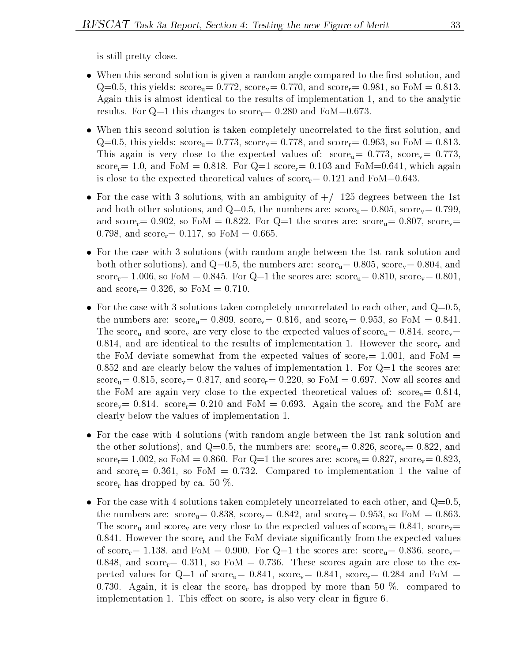is still pretty close.

- When this second solution is given a random angle compared to the first solution, and  $Q=0.5$ , this yields: score<sub>u</sub>= 0.772, score<sub>v</sub>= 0.770, and score<sub>r</sub>= 0.981, so FoM = 0.813. Again this is almost identical to the results of implementation 1, and to the analytic results. For  $Q=1$  this changes to score<sub>r</sub> = 0.280 and FoM=0.673.
- When this second solution is taken completely uncorrelated to the first solution, and  $Q=0.5$ , this yields: score<sub>u</sub>= 0.773, score<sub>v</sub>= 0.778, and score<sub>r</sub>= 0.963, so FoM = 0.813. This again is very close to the expected values of:  $score_u= 0.773$ ,  $score_v= 0.773$ , score<sub>r</sub> = 1.0, and FoM = 0.818. For  $Q=1$  score<sub>r</sub> = 0.103 and FoM = 0.641, which again is close to the expected theoretical values of score<sub>r</sub>=  $0.121$  and FoM=0.643.
- For the case with 3 solutions, with an ambiguity of  $+/- 125$  degrees between the 1st and both other solutions, and  $Q=0.5$ , the numbers are: score<sub>u</sub>= 0.805, score<sub>v</sub>= 0.799, and score<sub>r</sub>= 0.902, so FoM = 0.822. For Q=1 the scores are: score<sub>u</sub>= 0.807, score<sub>v</sub>= 0.798, and  $score_r = 0.117$ , so  $FoM = 0.665$ .
- For the case with 3 solutions (with random angle between the 1st rank solution and both other solutions), and Q=0.5, the numbers are:  $score_u= 0.805$ ,  $score_v= 0.804$ , and score<sub>r</sub>= 1.006, so FoM = 0.845. For Q=1 the scores are: score<sub>u</sub>= 0.810, score<sub>v</sub>= 0.801, and score<sub>r</sub> = 0.326, so FoM = 0.710.
- For the case with 3 solutions taken completely uncorrelated to each other, and  $Q=0.5$ , the numbers are:  $score_u= 0.809$ ,  $score_v= 0.816$ , and  $score_r= 0.953$ , so  $FoM = 0.841$ . The score<sub>u</sub> and score<sub>v</sub> are very close to the expected values of score<sub>u</sub>= 0.814, score<sub>v</sub>= 0.814, and are identical to the results of implementation 1. However the score<sub>r</sub> and the FoM deviate somewhat from the expected values of score<sub>r</sub>= 1.001, and FoM =  $0.852$  and are clearly below the values of implementation 1. For  $Q=1$  the scores are:  $score_u= 0.815$ ,  $score_v= 0.817$ , and  $score_r= 0.220$ , so  $FoM = 0.697$ . Now all scores and the FoM are again very close to the expected theoretical values of:  $score_u = 0.814$ ,  $score<sub>v</sub> = 0.814$ .  $score<sub>r</sub> = 0.210$  and FoM = 0.693. Again the score<sub>r</sub> and the FoM are clearly below the values of implementation 1.
- For the case with 4 solutions (with random angle between the 1st rank solution and the other solutions), and Q=0.5, the numbers are:  $score_u= 0.826$ ,  $score_v= 0.822$ , and score<sub>r</sub>= 1.002, so FoM = 0.860. For Q=1 the scores are: score<sub>u</sub>= 0.827, score<sub>v</sub>= 0.823, and score<sub>r</sub> = 0.361, so FoM = 0.732. Compared to implementation 1 the value of score<sub>r</sub> has dropped by ca. 50  $\%$ .
- For the case with 4 solutions taken completely uncorrelated to each other, and  $Q=0.5$ , the numbers are:  $score_u= 0.838$ ,  $score_v= 0.842$ , and  $score_r= 0.953$ , so  $FoM = 0.863$ . The score<sub>u</sub> and score<sub>v</sub> are very close to the expected values of score<sub>u</sub>= 0.841, score<sub>v</sub>= 0.841. However the score<sub>r</sub> and the FoM deviate significantly from the expected values of score<sub>r</sub>= 1.138, and FoM = 0.900. For Q=1 the scores are: score<sub>u</sub>= 0.836, score<sub>v</sub>= 0.848, and score<sub>r</sub>= 0.311, so FoM = 0.736. These scores again are close to the expected values for  $Q=1$  of score<sub>u</sub>= 0.841, score<sub>v</sub>= 0.841, score<sub>r</sub>= 0.284 and FoM = 0.730. Again, it is clear the score<sub>r</sub> has dropped by more than 50 %. compared to implementation 1. This effect on  $score<sub>r</sub>$  is also very clear in figure 6.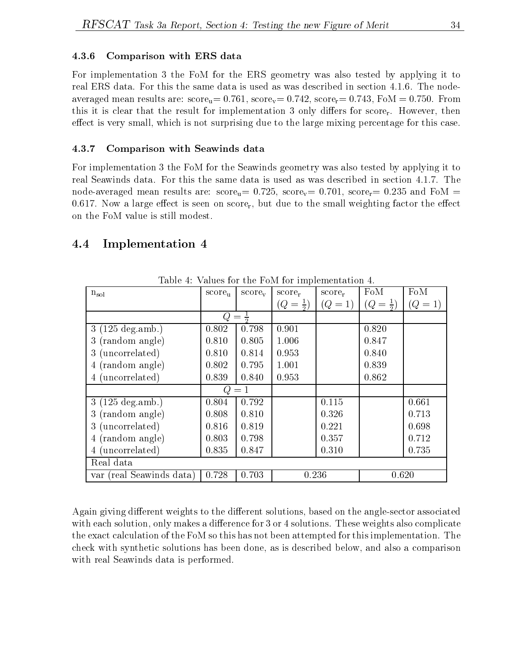#### 4.3.6 Comparison with ERS data

For implementation 3 the FoM for the ERS geometry was also tested by applying it to real ERS data. For this the same data is used aswas described in section 4.1.6. The nodeaveraged mean results are:  $score_u= 0.761$ ,  $score_v= 0.742$ ,  $score_r= 0.743$ , FoM = 0.750. From this it is clear that the result for implementation 3 only differs for score<sub>r</sub>. However, then effect is very small, which is not surprising due to the large mixing percentage for this case.

#### 4.3.7 Comparison with Seawinds data

For implementation 3 the FoM for the Seawinds geometry was also tested by applying it to real Seawinds data. For this the same data is used as was described in section 4.1.7. The node-averaged mean results are:  $score_u= 0.725$ ,  $score_v= 0.701$ ,  $score_r= 0.235$  and FoM = 0.617. Now a large effect is seen on score<sub>r</sub>, but due to the small weighting factor the effect on the FoM value is still modest.

## 4.4 Implementation <sup>4</sup>

|                           |             |           | Turned for the rest for mapromements |           |                     |         |
|---------------------------|-------------|-----------|--------------------------------------|-----------|---------------------|---------|
| $n_{\rm sol}$             | $score_{u}$ | $score_v$ | $score_r$                            | $score_r$ | FoM                 | FoM     |
|                           |             |           | $(Q = \frac{1}{2})$                  | $(Q = 1)$ | $(Q = \frac{1}{2})$ | $(Q=1)$ |
|                           | Q           |           |                                      |           |                     |         |
| $3(125 \text{ deg.amb.})$ | 0.802       | 0.798     | 0.901                                |           | 0.820               |         |
| 3 (random angle)          | 0.810       | 0.805     | 1.006                                |           | 0.847               |         |
| 3 (uncorrelated)          | 0.810       | 0.814     | 0.953                                |           | 0.840               |         |
| 4 (random angle)          | 0.802       | 0.795     | 1.001                                |           | 0.839               |         |
| 4 (uncorrelated)          | 0.839       | 0.840     | 0.953                                |           | 0.862               |         |
|                           | $Q=1$       |           |                                      |           |                     |         |
| $3(125 \text{ deg.amb.})$ | 0.804       | 0.792     |                                      | 0.115     |                     | 0.661   |
| 3 (random angle)          | 0.808       | 0.810     |                                      | 0.326     |                     | 0.713   |
| 3 (uncorrelated)          | 0.816       | 0.819     |                                      | 0.221     |                     | 0.698   |
| 4 (random angle)          | 0.803       | 0.798     |                                      | 0.357     |                     | 0.712   |
| 4 (uncorrelated)          | 0.835       | 0.847     |                                      | 0.310     |                     | 0.735   |
| Real data                 |             |           |                                      |           |                     |         |
| var (real Seawinds data)  | 0.728       | 0.703     | 0.236                                |           | 0.620               |         |

Table 4: Values for the FoM for implementation 4.

Again giving different weights to the different solutions, based on the angle-sector associated with each solution, only makes a difference for  $3$  or  $4$  solutions. These weights also complicate the exact calculation of the FoM so this has not been attempted for this implementation. The check with synthetic solutions has been done, as is described below, and also a comparison with real Seawinds data is performed.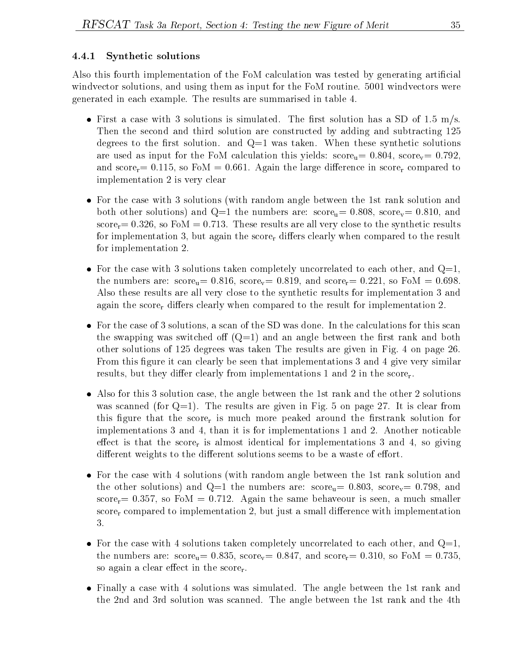#### 4.4.1 Synthetic solutions

Also this fourth implementation of the FoM calculation was tested by generating artificial windvector solutions, and using them as input for the FoM routine. 5001 windvectors were generated in each example. The results are summarised in table 4.

- First a case with 3 solutions is simulated. The first solution has a SD of 1.5 m/s. Then the second and third solution are constructed by adding and subtracting 125 degrees to the first solution. and  $Q=1$  was taken. When these synthetic solutions are used as input for the FoM calculation this yields:  $score_u= 0.804$ ,  $score_v= 0.792$ , and score<sub>r</sub> = 0.115, so FoM = 0.661. Again the large difference in score<sub>r</sub> compared to implementation 2 is very clear
- For the case with 3 solutions (with random angle between the 1st rank solution and both other solutions) and  $Q=1$  the numbers are: score<sub>u</sub>= 0.808, score<sub>v</sub>= 0.810, and  $score_r = 0.326$ , so FoM = 0.713. These results are all very close to the synthetic results for implementation 3, but again the score<sub>r</sub> differs clearly when compared to the result for implementation 2.
- For the case with 3 solutions taken completely uncorrelated to each other, and  $Q=1$ , the numbers are:  $score<sub>u</sub> = 0.816$ ,  $score<sub>v</sub> = 0.819$ , and  $score<sub>r</sub> = 0.221$ , so  $FoM = 0.698$ . Also these results are all very close to the synthetic results for implementation 3 and again the score, differs clearly when compared to the result for implementation 2.
- For the case of 3 solutions, a scan of the SD was done. In the calculations for this scan the swapping was switched of  $(Q=1)$  and an angle between the first rank and both other solutions of 125 degrees was taken The results are given in Fig. 4 on page 26. From this figure it can clearly be seen that implementations 3 and 4 give very similar results, but they differ clearly from implementations 1 and 2 in the score,
- Also for this 3 solution case, the angle between the 1st rank and the other 2 solutions was scanned (for  $Q=1$ ). The results are given in Fig. 5 on page 27. It is clear from this figure that the score, is much more peaked around the firstrank solution for implementations 3 and 4, than it is for implementations 1 and 2. Another noticable effect is that the score, is almost identical for implementations 3 and 4, so giving different weights to the different solutions seems to be a waste of effort.
- For the case with 4 solutions (with random angle between the 1st rank solution and the other solutions) and Q=1 the numbers are:  $score_u = 0.803$ ,  $score_v = 0.798$ , and score<sub>r</sub> = 0.357, so FoM = 0.712. Again the same behave our is seen, a much smaller score<sub>r</sub> compared to implementation 2, but just a small difference with implementation 3.
- For the case with 4 solutions taken completely uncorrelated to each other, and  $Q=1$ , the numbers are:  $score_u= 0.835$ ,  $score_v= 0.847$ , and  $score_r= 0.310$ , so  $FoM = 0.735$ , so again a clear effect in the score,.
- Finally a case with 4 solutions was simulated. The angle between the 1st rank and the 2nd and 3rd solution was scanned. The angle between the 1st rank and the 4th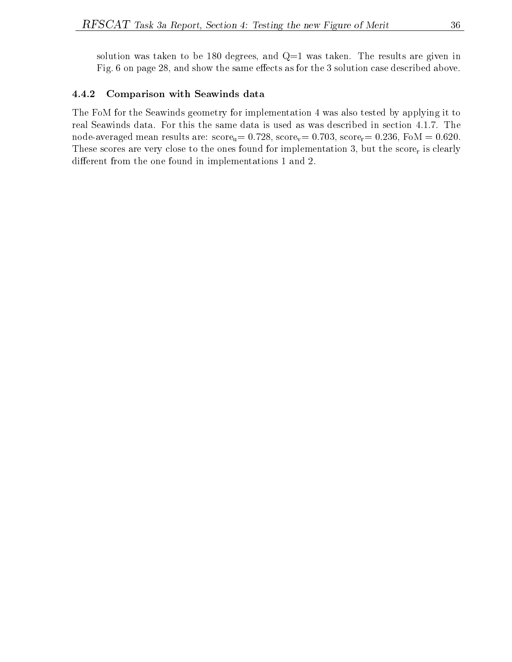solution was taken to be 180 degrees, and  $Q=1$  was taken. The results are given in Fig. 6 on page 28, and show the same effects as for the 3 solution case described above.

#### 4.4.2 Comparison with Seawinds data

The FoM for the Seawinds geometry for implementation 4 was also tested by applying it to real Seawinds data. For this the same data is used as was described in section 4.1.7. The node-averaged mean results are:  $score_u= 0.728$ ,  $score_v= 0.703$ ,  $score_r= 0.236$ ,  $FoM = 0.620$ . These scores are very close to the ones found for implementation 3, but the score<sub>r</sub> is clearly different from the one found in implementations 1 and 2.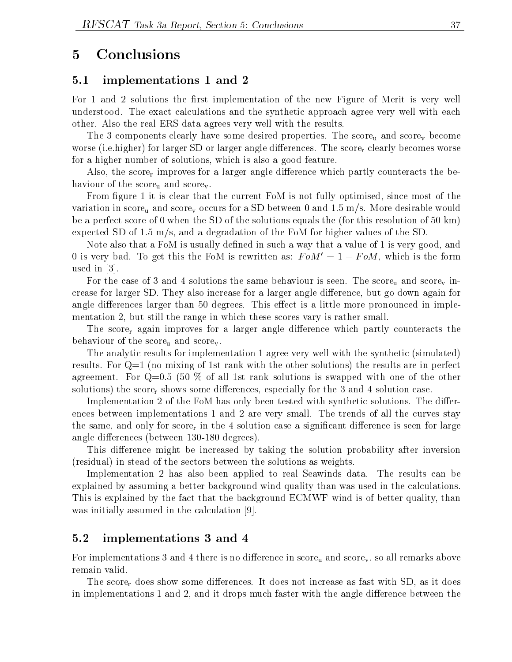## 5 Conclusions

#### 5.1 implementations <sup>1</sup> and <sup>2</sup>

For 1 and 2 solutions the first implementation of the new Figure of Merit is very well understood. The exact calculations and the synthetic approach agree very well with each other. Also the real ERS data agrees very well with the results.

The 3 components clearly have some desired properties. The score<sub>u</sub> and score<sub>v</sub> become worse (i.e.higher) for larger SD or larger angle differences. The score, clearly becomes worse for a higher number of solutions, which is also a good feature.

Also, the score<sub>r</sub> improves for a larger angle difference which partly counteracts the behaviour of the score<sub>u</sub> and score<sub>v</sub>.

From figure 1 it is clear that the current FoM is not fully optimised, since most of the variation in score<sub>u</sub> and score<sub>v</sub> occurs for a SD between 0 and 1.5 m/s. More desirable would be a perfect score of 0 when the SD of the solutions equals the (for this resolution of 50 km) expected SD of 1.5 m/s, and a degradation of the FoM for higher values of the SD.

Note also that a FoM is usually defined in such a way that a value of 1 is very good, and 0 is very bad. To get this the FoM is rewritten as:  $FoM' = 1 - FoM$ , which is the form used in [3].

For the case of 3 and 4 solutions the same behaviour is seen. The score<sub>u</sub> and score<sub>v</sub> increase for larger SD. They also increase for a larger angle difference, but go down again for angle differences larger than 50 degrees. This effect is a little more pronounced in implementation 2, but still the range in which these scores vary is rather small.

The score<sub>r</sub> again improves for a larger angle difference which partly counteracts the behaviour of the score<sub>u</sub> and score<sub>v</sub>.

The analytic results for implementation 1 agree very well with the synthetic (simulated) results. For Q=1 (no mixing of 1st rank with the other solutions) the results are in perfect agreement. For  $Q=0.5$  (50 % of all 1st rank solutions is swapped with one of the other solutions) the score, shows some differences, especially for the 3 and 4 solution case.

Implementation 2 of the FoM has only been tested with synthetic solutions. The differences between implementations 1 and 2 are very small. The trends of all the curves stay the same, and only for score, in the 4 solution case a significant difference is seen for large angle differences (between 130-180 degrees).

This difference might be increased by taking the solution probability after inversion (residual) in stead of the sectors between the solutions as weights.

Implementation 2 has also been applied to real Seawinds data. The results can be explained by assuming a better background wind quality than was used in the calculations. This is explained by the fact that the background ECMWF wind is of better quality, than was initially assumed in the calculation [9].

#### 5.2 implementations <sup>3</sup> and <sup>4</sup>

For implementations 3 and 4 there is no difference in score<sub>u</sub> and score<sub>v</sub>, so all remarks above remain valid.

The score, does show some differences. It does not increase as fast with SD, as it does in implementations 1 and 2, and it drops much faster with the angle difference between the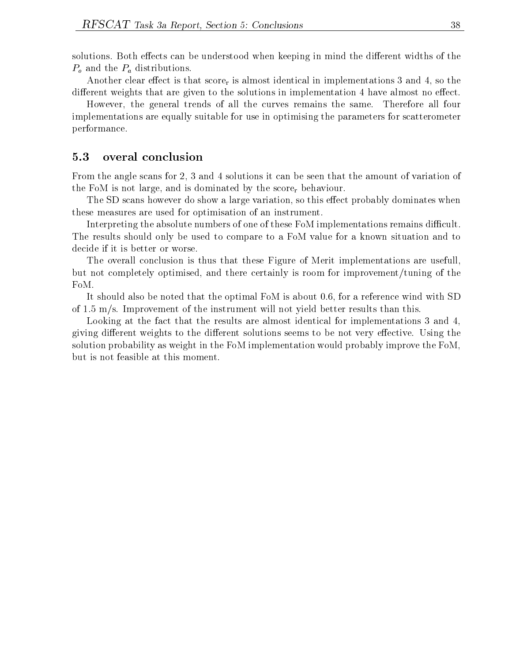solutions. Both effects can be understood when keeping in mind the different widths of the  $P<sub>o</sub>$  and the  $P<sub>a</sub>$  distributions.

Another clear effect is that score<sub>r</sub> is almost identical in implementations 3 and 4, so the different weights that are given to the solutions in implementation 4 have almost no effect.

However, the general trends of all the curves remains the same. Therefore all four implementations are equally suitable for use in optimising the parameters for scatterometer performance.

#### overal conclusion 5.3

From the angle scans for 2, 3 and 4 solutions it can be seen that the amount of variation of the FoM is not large, and is dominated by the score, behaviour.

The SD scans however do show a large variation, so this effect probably dominates when these measures are used for optimisation of an instrument.

Interpreting the absolute numbers of one of these FoM implementations remains difficult. The results should only be used to compare to a FoM value for a known situation and to decide if it is better or worse.

The overall conclusion is thus that these Figure of Merit implementations are usefull, but not completely optimised, and there certainly is room for improvement/tuning of the FoM.

It should also be noted that the optimal FoM is about 0.6, for a reference wind with SD of 1.5 m/s. Improvement of the instrument will not yield better results than this.

Looking at the fact that the results are almost identical for implementations 3 and 4, giving different weights to the different solutions seems to be not very effective. Using the solution probability as weight in the FoM implementation would probably improve the FoM, but is not feasible at this moment.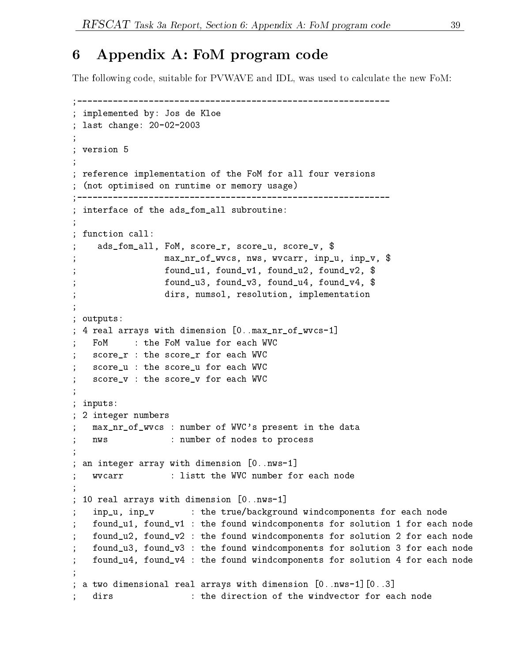## 6 Appendix A: FoM program code

The following code, suitable for PVWAVE and IDL, was used to calculate the new FoM:

```
;-------------------------------------------------------------; implemented by: Jos de Kloe
; last change: 20-02-2003
;; version 5
;; reference implementation of the FoM for all four versions
  (not optimised on runtime or memory usage)
;--------------------------------------
;-------------------------------------------------------------; interface of the adsociation of the adsociation of the adsociation of the adsociation of the adsociation of the additional substitution of the additional substitution of the additional substitution of the additional subst
; function call:
; ads_fom_all, FoM, score_r, score_u, score_v, $
; max_nr_of_wvcs, nws, wvcarr, inp_u, inp_v, $
; found_u1, found_v1, found_u2, found_v2, $
; found_u3, found_v3, found_u4, found_v4, $
; dirs, numsol, resolution, implementation
;;\mathbf{v} outputs:
; 4 real arrays with dimension \alpha real arrays with dimension \alpha arrays with dimensional \alpha FoM : the FoM value for each WVC
; score_r : the score_r for each WVC
; score_u : the score_u for each WVC
; score_v : the score_v for each WVC
;;\mathbf{v} is in put since \mathbf{v} is a set of \mathbf{v} is a set of \mathbf{v} is a set of \mathbf{v}; 2 integrate numbers in the contract of the contract of the contract of the contract of the contract of the c
     max_nr_of_wvcs : number of WVC's present in the data
;nws : number of nodes to process
;; an integer array with dimension [0..nws-1]
; wvcarr : listt the WVC number for each node
;; 10 real arrays with dimension [0..nws-1]
; inp_u, inp_v : the true/background windcomponents for each node
; found_u1, found_v1 : the found windcomponents for solution 1 for each node
; found_u2, found_v2 : the found windcomponents for solution 2 for each node
; found_u3, found_v3 : the found windcomponents for solution 3 for each node
; found_u4, found_v4 : the found windcomponents for solution 4 for each node
;;; a two dimensional real arrays with dimension [0..nws-1][0..3]
     dirs : the direction of the windvector for each node;
```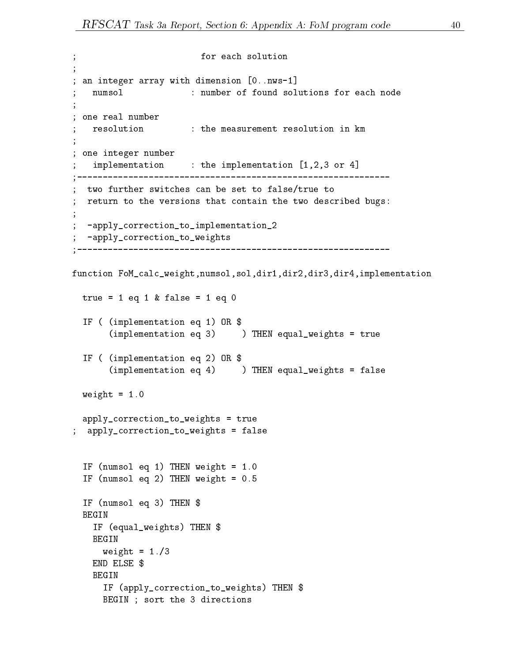```
; for each solution
;; an integer array with dimension [0..nws-1]
;numsol : number of found solutions for each node
;; one real number
; resolution : the measurement resolution in km
;\mathbf{y} on the integer number of \mathbf{y}; implementation : the implementation [1,2,3 or 4]
;-------------------------------------------------------------; two further switches can be set to false/true to
; return to the versions that contain the two described bugs:
;; -apply_correction_to_implementation_2
; -apply_correction_to_weights
;-------------------------------------------------------------function for a function \alpha and \alpha is a function \alpha and \alpha and \alpha and \alpha and \alpha and \alpha and \alpha and \alpha\sim 1 eq 1 w 1 a \sim 1 eq 0
  IF ( (implementation eq 1) OR $
        (implementation equality \mathcal{L} ) is the set of the true \mathcal{L} and the true \mathcal{L}IF ( (implementation eq 2) OR $
        \mathcal{L} = \mathcal{L} ) (implementation equality \mathcal{L} = \{ \mathcal{L} \mid \mathcal{L} \} ) to false factors for \mathcal{L} = \{ \mathcal{L} \}we impose that the 1.00 m \sim 1.000 \sim 1.000 \sim 1.000 \sim 1.000 \sim 1.000 \simapply to the true of the set \alpha true \alpha; apply to the correction of \alpha is \alpha . The false factor of \alphaIF (numsol eq 1) THEN weight = 1.0
  IF (numsol eq 2) THEN weight = 0.5
  \blacksquare . The state of \blacksquare is the state of \blacksquareBEGIN\blacksquareBEGINwe impose that \mathbf{r} is the \mathbf{r}END ELSE $
    BEGINIF (apply_correction_to_weights) THEN $
```
BEGIN ; sort the <sup>3</sup> directions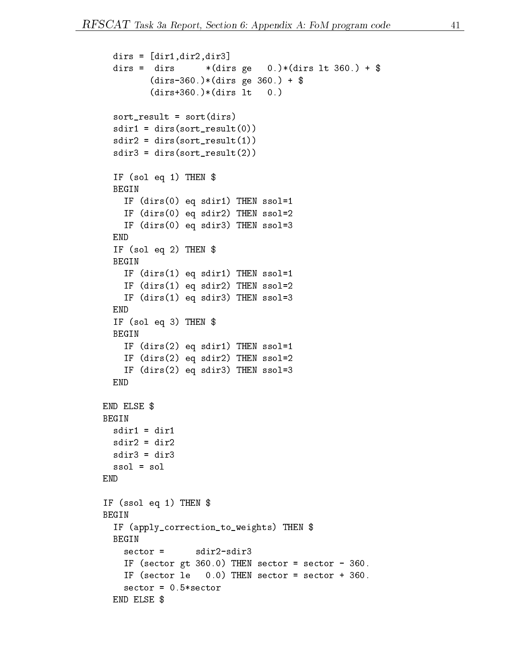```
direction directions are a constructed and a construction of the construction of the construction of the construction of the construction of the construction of the construction of the construction of the construction of t
   dirs the direct construction of the direct direct direct direct direct direct direct direct direct direct direct on \mathcal{A}(direct 360.) (direct 360.) \sim \sim \sim\lambda , and \lambda are local directed by \lambda . In the \lambdas . So the south s and s are sort \alpha . So the sort \alphasdirection \mathcal{L} . The direction of \mathcal{L}s and s and s and s and s and s and s (1))
   sdira\sim directed values of \sim directed values (2)) and the solution of \simIF (sol eq 1) THEN $
  BEGINIF (dirs(0) eq sdir1) THEN ssol=1
     IF (dirs(0) eq sdir2) THEN ssol=2
     IF (dirs(0) eq sdir3) THEN ssol=3
  ENDIF (sol eq 2) THEN $
  BEGINIF (dirs(1) eq sdir1) THEN ssol=1
     IF (dirs(1) eq sdir2) THEN ssol=2
     IF (dirs(1) eq sdir3) THEN ssol=3
  ENDIF (sol eq 3) THEN $
  BEGINIF (dirs(2) eq sdir1) THEN ssol=1
     IF (dirs(2) eq sdir2) THEN ssol=2
     \mathbf{1} . The state \mathbf{2} is the state state of \mathbf{3}ENDEND ELSE $
      ELSE $
BEGINsdir1 = dir1
   \sim solution \sim solution \sim solution \simENDIF (ssol eq 1) THEN $
BEGINIF (apply_correction_to_weights) THEN $
  BEGINsector =
                       sdir2-sdir3
     IF (sector gt 360.0) THEN sector = sector - 360.
     IF (sector le 0.0) THEN sector = sector + 360.
         ELSE $
```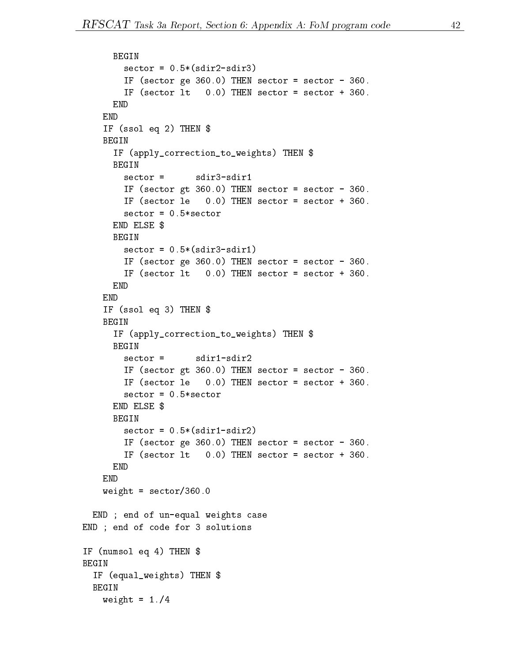```
BEGINs \sim 0.5 . s \sim 0.5 . s \sim 0.5 . s \sim 0.5IF (sector ge 360.0) THEN sector = sector - 360.
        IF (sector lt 0.0) THEN sector = sector + 360.
      ENDENDIF (ssol eq 2) THEN $
      IF (apply_correction_to_weights) THEN $
      BEGINIF (sector gt 360.0) THEN sector = sector - 360.
        IF (sector le 0.0) THEN sector = sector + 360.
      END ELSE $
           ELSE $
      BEGINs \sim 0.5 . s \sim 0.5 sectors s \sim 0.5 sectors and s \sim 0.5IF (sector ge 360.0) THEN sector = sector - 360.
        IF (sector lt 0.0) THEN sector = sector + 360.
      ENDENDIF (ssol eq 3) THEN $
    BEGINIF (apply_correction_to_weights) THEN $
      BEGINsector =
                      sdir1-sdir2
        IF (sector gt 360.0) THEN sector = sector - 360.
        IF (sector le 0.0) THEN sector = sector + 360.
      END ELSE $
           ELSE $
        s \sim 0.5 . s \sim 0.5 . s \sim 0.5 . s \sim 0.5 . s \sim 0.5IF (sector ge 360.0) THEN sector = sector - 360.
        IF (sector lt 0.0) THEN sector = sector + 360.
      ENDENDwe see the sector \mathcal{S} . Sector \mathcal{S} , we see that \mathcal{S}END ; end of un-equal weights case
END ; end of code for 3 solutions
\blacksquare . The \blacksquare is the \blacksquare then \blacksquare then \blacksquareBEGIN\blacksquareBEGINwe set that \mathbf{r} is the 1.1 \mathbf{r}
```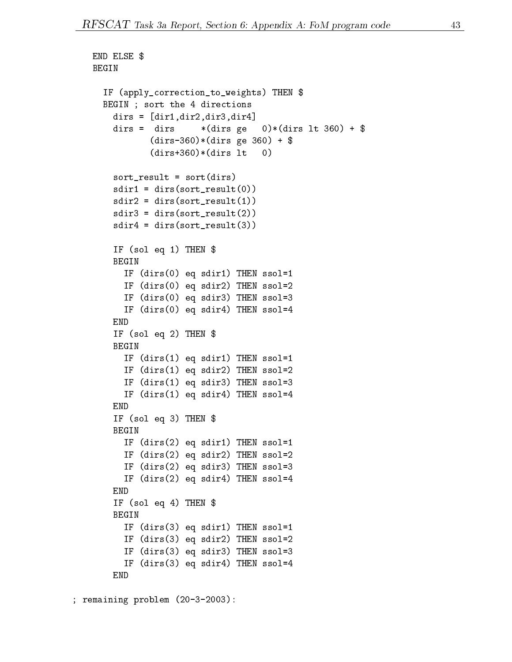```
END ELSE $
BEGINIF (apply_correction_to_weights) THEN $
    BEGIN ; sort the 4 directions in the 4 direction of the 4 direction of the 4 direction of the 4 direction of t
       \alpha and \alpha and \alpha , \alpha and \alpha , \alpha and \alpha , \alpha and \alphadirs*(\text{dirs ge } 0)*( \text{dirs 1t 360}) + $(dirs-360)*(dirs ge 360) + $
                   (dirs+360)*(dirs 1t) lt 0)
       sort_result = sort(dirs)
       s - directed and s - directed and s - directed and s - s - s - s - s - s - s - s - s - s - s - s - s - s - s - s - s - s - s - s - s - s - s - s - s - s - s - ssdirac to the direction of \sim direction \sim . The direction of \sims - directed and s - directed and s - directed and ssdiration \mathcal{A} . The direction of \mathcal{A} is the direction of \mathcal{A}IF (sol eq 1) THEN $
      BEGIN\blacksquare . \blacksquare . \blacksquare . \blacksquare . \blacksquare . \blacksquare . \blacksquare . \blacksquare . \blacksquare . \blacksquare . \blacksquare . \blacksquare . \blacksquare . \blacksquare . \blacksquare . \blacksquare . \blacksquare . \blacksquare . \blacksquare . \blacksquare . \blacksquare . \blacksquare . \blacksquare . \blacksquare . \blacksquareIF (dirs(0) eq sdir2) THEN ssol=2
           \blacksquare . \blacksquare . \blacksquare . \blacksquare . \blacksquare . \blacksquare . \blacksquare . \blacksquare . \blacksquare . \blacksquare . \blacksquare . \blacksquare . \blacksquare . \blacksquare . \blacksquare . \blacksquare . \blacksquare . \blacksquare . \blacksquare . \blacksquare . \blacksquare . \blacksquare . \blacksquare . \blacksquare . \blacksquareIF (dirs(0) eq sdir4) THEN ssol=4
      END\blacksquare . Then \blacksquare and \blacksquare \blacksquare are \blacksquare . Then \blacksquareBEGINIF (dirs(1) eq sdir1) THEN ssol=1
           IF (dirs(1) eq sdir2) THEN ssol=2
           IF (dirs(1) eq sdir3) THEN ssol=3
           IF (dirs(1) eq sdir4) THEN ssol=4
      ENDIF (sol eq 3) THEN $
      BEGINIF (dirs(2) eq sdir1) THEN ssol=1
           IF (dirs(2) eq sdir2) THEN ssol=2
           IF (dirs(2) eq sdir3) THEN ssol=3
           IF (dirs(2) eq sdir4) THEN ssol=4
      ENDIF (sol eq 4) THEN $
      BEGINIF (dirs(3) eq sdir1) THEN ssol=1
           IF (dirs(3) eq sdir2) THEN ssol=2
           IF (dirs(3) eq sdir3) THEN ssol=3
           IF (dirs(3) eq sdir4) THEN ssol=4
      END
```
 $\mathbf{r}$  remaining problem (20-3-2003):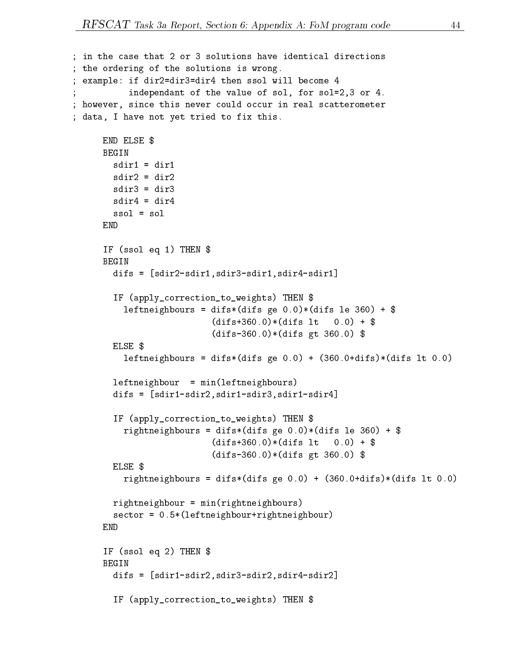;

```
; in the case that 2 or 3 solutions have identical directions
; the ordering of the solutions is wrong.
; example: if dirade needs needs then solve as \sim independant of the value of sol, for sol=2,3 or 4.
; however, since this never could occur in real scatterometer
; data, I have not yet tried to fix this.
               ELSE $
       BEGINsdir1 = dir1
          sdir2 = dir2s = 0 and direct \simENDIF (ssol eq 1) THEN $
        BEGINdiffs a great source the source of the second second second second second second second second second second s
           IF (apply_correction_to_weights) THEN $
              leftneighbours = difs*(difs ge 0.0)*(difs le 360) + $
                                      (difs+360.0)*(difs It)0.0) + $
                                      (different \alpha ) (different \alpha ) \alpha , \alphaELSE<sub>$</sub>
                  \bullet and the set of \bullet and \bullet and \bullet and \bullet and \bullet and \bullet and \bullet and \bullet and \bulletleftneighbours = difs*(difs ge 0.0) + (360.0+difs)*(difs lt 0.0)
           left is more than the contract of the contract of the contract of the contract of the contract of the contract of the contract of the contract of the contract of the contract of the contract of the contract of the contract
           diffs a construction of \alpha -set \alpha , so that is different construction of \alpha and \alpha and \alphaIF (apply_correction_to_weights) THEN $
              rightneighbours = difference general (difference in a 360) + $ $ 0.000 + $ $ 0.000 $ 0.000 $ 0.000 $ 0.000 $ 0
                                      (different later \alpha ) and \alpha and \alpha . The \alpha - \alpha(different \alpha ) (different \alpha ) \alpha , \alphaELSE<sub>$</sub>
                  \overline{\phantom{a}}rightneightneis = difference given (360.000 = difference in 0.0) + (difference literation in 0.000 = 0.000 = 0
           rightneighbour = min(rightneighbours)
           sector = 0.5*(leftneighbour-rightneighbour-rightneighbour-rightneighbour-
        ENDIF (ssol eq 2) THEN $
        BEGINdifs = [sdir1-sdir2,sdir3-sdir2,sdir4-sdir2]
```
If (apply to rection to the  $\sim$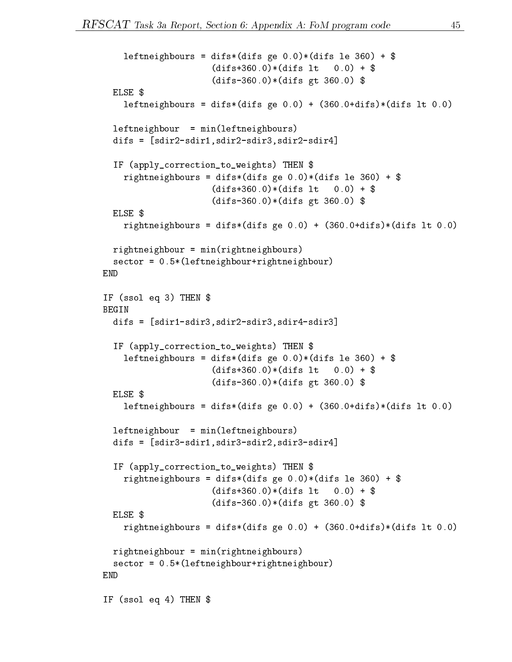```
leftneighbours = difs*(difs ge 0.0)*(difs le 360) + $
                                      (difs+360.0)*(difs It)0.0) + $(different and \mathbf{A} and \mathbf{A} and \mathbf{A} and \mathbf{A} and \mathbf{A} and \mathbf{A} and \mathbf{A} and \mathbf{A} and \mathbf{A} and \mathbf{A} and \mathbf{A} and \mathbf{A} and \mathbf{A} and \mathbf{A} and \mathbf{A} and \mathbf{A} an
   ELSE<sub>$</sub>
             \bullet and the set of \bullet and \bullet and \bullet and \bullet and \bullet and \bullet and \bullet and \bullet and \bulletleftneighbours = difs*(difs ge 0.0) + (360.0+difs)*(difs lt 0.0)
    left is more than the contract of the contract of the contract of the contract of the contract of the contract of the contract of the contract of the contract of the contract of the contract of the contract of the contract
    difs = [sdir2-sdir1,sdir2-sdir3,sdir2-sdir4]
    IF (apply_correction_to_weights) THEN $
       rightneighbours = difference general (difference in a 360) + $ $ 0.000 + $ $ 0.000 $ 0.000 $ 0.000 $ 0.000 $ 0
                                      (difs+360.0)*(difs It)0.0) + $
                                      (different and \mathbf{A} and \mathbf{A} and \mathbf{A} and \mathbf{A} and \mathbf{A} and \mathbf{A} and \mathbf{A} and \mathbf{A} and \mathbf{A} and \mathbf{A} and \mathbf{A} and \mathbf{A} and \mathbf{A} and \mathbf{A} and \mathbf{A} and \mathbf{A} an
   ELSE<sub>$</sub>
             \overline{\phantom{a}}rightneightneis = difference given (360.000 = difference in 0.0) + (difference literation in 0.000 = 0.000 = 0
    rightneighbour = min(rightneighbours)
    sector = 0.5*(leftneighbour-rightneighbour-rightneighbour-rightneighbour-
IF (ssol eq 3) THEN $
BEGINdifs = [sdir1-sdir3,sdir2-sdir3,sdir4-sdir3]
    IF (apply_correction_to_weights) THEN $
       leftneighbours = difs*(difs ge 0.0)*(difs le 360) + $
                                      (difs+360.0)*(difs 1t) lt 0.0) + $
                                      (different and \mathbf{A} and \mathbf{A} and \mathbf{A} and \mathbf{A} and \mathbf{A} and \mathbf{A} and \mathbf{A} and \mathbf{A} and \mathbf{A} and \mathbf{A} and \mathbf{A} and \mathbf{A} and \mathbf{A} and \mathbf{A} and \mathbf{A} and \mathbf{A} an
   ELSE<sub>$</sub>
             \overline{\phantom{a}}leftneighbours = difs*(difs ge 0.0) + (360.0+difs)*(difs lt 0.0)
    leftneighbour = min(leftneighbours)
    \alpha and \alpha is different and \alpha solutions of \alpha solutions are solutions of \alpha solutions of \alphaIF (apply_correction_to_weights) THEN $
       rightneighbours = difs*(difs ge 0.0)*(difs le 360) + $
                                      (difs+360.0)*(difs It)0.0) + $
                                      \sim 360.000 \sim 360.000 \sim 360.000 \sim 360.000 \simELSE<sup>$</sup>
             \overline{\phantom{a}}rightneighbours = diffs general general (different different let 0.0) + (different let 0.0) + (different let 0
    rightneighbours = min(rightneighbours)
    sector = 0.5*(leftneighbour-rightneighbour-rightneighbour-rightneighbour-
ENDIF (ssol eq 4) THEN $
```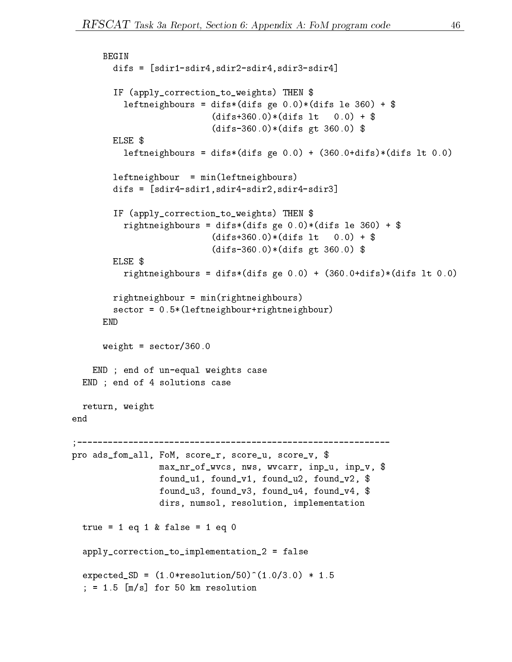```
BEGINdifs = [sdir1-sdir4,sdir2-sdir4,sdir3-sdir4]
            IF (apply_correction_to_weights) THEN $
              leftneighbours = difs*(difs ge 0.0)*(difs le 360) + $
                                       (different later \alpha ) and \alpha and \alpha . The \alpha - \alpha(different and \mathbf{A} and \mathbf{A} and \mathbf{A} and \mathbf{A} and \mathbf{A} and \mathbf{A} and \mathbf{A} and \mathbf{A} and \mathbf{A} and \mathbf{A} and \mathbf{A} and \mathbf{A} and \mathbf{A} and \mathbf{A} and \mathbf{A} and \mathbf{A} an
                   \bullet and the set of \bullet and \bullet and \bullet and \bullet and \bullet and \bullet and \bullet and \bullet and \bulletleftneighbours = difs*(difs ge 0.0) + (360.0+difs)*(difs lt 0.0)
            leftneighbour = min(leftneighbours)
            \alpha and \alpha is different order to \alpha , so that is different order to \alpha . The solution of \alphaIF (apply_correction_to_weights) THEN $
              rightneighbours = difs*(difs ge 0.0)*(difs le 360) + $
                                       (difs+360.0)*(difs0.0) + $\sim 360.000 \sim 360.000 \sim 360.000 \sim 360.000 \simELSE<sub>$</sub>
                   \overline{\phantom{a}}rightneighbours = diffs general general (different different let 0.0) + (different let 0.0) + (different let 0
            rightneighbour = min(rightneighbours)
            s \leftrightarrow s . \leftrightarrow s \leftrightarrow s . The sector \sim respectively and sENDwe see the sector \sim sectors and \simE = \frac{1}{2} , then the unit weights we have called the contract of E = \frac{1}{2}END ; end of 4 solutions case
   return, weight
end;-------------------------------------------------------------pro ads_fom_all, FoM, score_r, score_u, score_v, $
                         max_nr_of_was, word, input in partner, input in partner, input input in partner, in
                         found_u1, found_v1, found_u2, found_v2, $
                         found the contract of \alpha , foundation \alpha , foundation \alpha , \alphadirs, number, resolution, implementation, in
   \sim 1 eq 1 w 1 a \sim 1 eq 0
   apply \sim , \sim . The correction \sim \sim false products that is false to \sim \sim \sim \sim \sim \simexpected as \sim (1.0 sected by 1.0, 3.0) . The solution \sim; = 1.5 [m/s] for 50 km resolution
```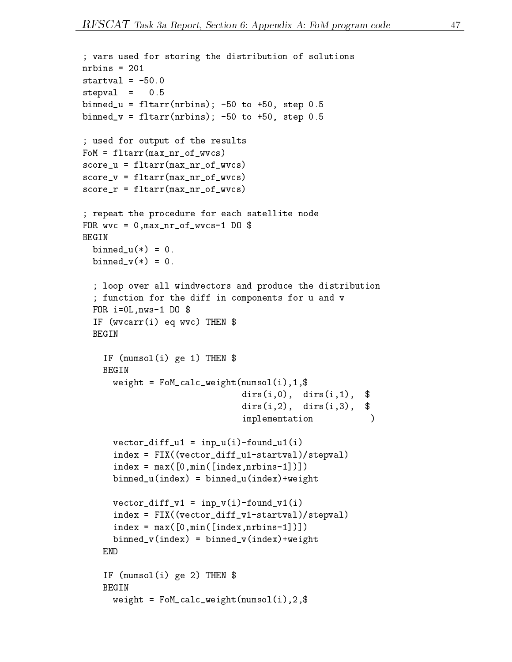```
; vars used for storing the distribution of solution of solutions \mathcal{L}nrbins = 201
stepval = 0.5
binned_u = fltarr(nrbins); -50 to +50, step 0.5
binned_v = fltarr(nrbins); -50 to +50, step 0.5
\mathbf{y} , we output to the results of the results of the results of the results of the results of the results of the results of the results of the results of the results of the results of the results of the results of th
FoM = fltarr(max_nr_of_wvcs)
score_u = fltarr(max_nr_of_wvcs)
score_v = fltarr(max_nr_of_wvcs)
score \sim flutarrance \sim flutarrance \sim flutarrance \sim \sim \sim \sim \sim; repeat the procedure for each satellite node
For words and the production of the contract of the contract of the contract of the contract of the contract o
BEGIN\sim 0.000 \sim 0.000 \sim 0.000 \sim 0.000 \sim 0.000 \sim 0.000 \sim 0.000 \sim 0.000 \sim 0.000 \sim 0.000 \sim 0.000 \sim 0.000 \sim 0.000 \sim 0.000 \sim 0.000 \sim 0.000 \sim 0.000 \sim 0.000 \sim 0.000 \sim 0.000 binned_v(*) = 0.
    \mathcal{L} is a loop over all windsvectors and produce the distribution and \mathcal{L}; function for the different for \alpha in components for us we use \alphaFOR i=0L,nws-1 DO $
    IF (wvcarr(i) eq wvc) THEN $
    BEGINIf the set of the \mathbf{y} = \mathbf{y} and \mathbf{y} = \mathbf{y} then \mathbf{y} = \mathbf{y}we ight for \epsilon and \epsilon and \epsilon and \epsilon and \epsilon and \epsilon and \epsilon and \epsilon and \epsilon and \epsilon and \epsilon and \epsilon and \epsilon and \epsilon and \epsilon and \epsilon and \epsilon and \epsilon and \epsilon and \epsilon and \epsilon and \epsilon and \epsilon and \direction is a set of the set of the set of the set of the set of the set of the set of the set of the set of \alphadirection in the contract of the contract of the contract of the contract of the contract of the contract of t
                                                            implementation )
            \cdots in the input of \cdots in \cdots in \cdots in \cdots in \cdots in \cdots in \cdots in \cdots in \cdots in \cdots in \cdots in \cdots in \cdots in \cdots in \cdots in \cdots in \cdots in \cdots in \cdots in \cdots in \cdots in \cdots in index = FIX((vector_diff_u1-startval)/stepval)
            index \alpha . The maximum is a maximum of \alpha , and in the set of \alpha . In the set of \alpha , \alphabindex binned under the binned under the bindex of the bindex of the bindex of the bindex of the bindex of the
            vector_diff_v1 = inp_v(i)-found_v1(i)
            index = FIX((vector_diff_v1-startval)/stepval)
            index = max([0,min([index,nrbins-1])])
            bindex \sim \sim \sim binned values \sim weight \sim weight \sim weight \simENDIF (numsol(i) ge 2) THEN $
       BEGINweight = FoM_calc_weight(numsol(i),2,$
```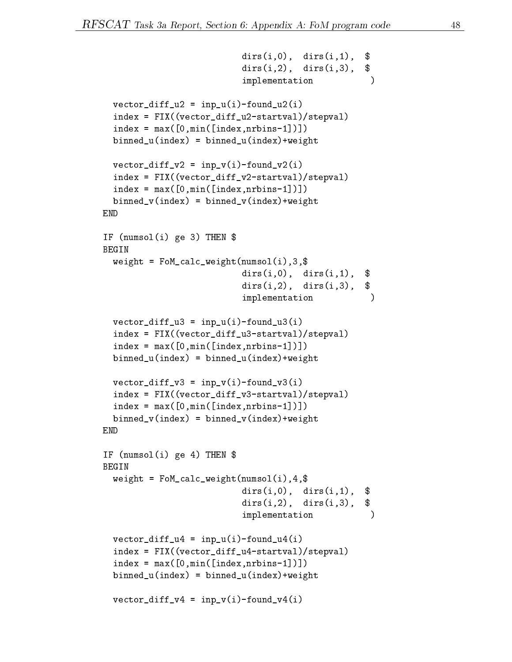```
direction of the contract of the contract of the contract of the contract of the contract of the contract of t
                                                   dirs(i,2), dirs(i,3), $
                                                  implementation\lambda )
    \cdots in the input of \cdots in \cdots in \cdots in \cdots in \cdots in \cdots in \cdots in \cdots in \cdots in \cdots in \cdots in \cdots in \cdots in \cdots in \cdots in \cdots in \cdots in \cdots in \cdots in \cdots in \cdots in \cdots in index = FIX((vector_diff_u2-startval)/stepval)
    index = maximum ([0,min])]) = maximum - maximum - maximum - maximum - maximum - m
    \sim binned u(index) \sim binned u(index) +weights
    vector_diff_v2 = inp_v(i)-found_v2(i)
    index \sim FIX((vector differential)/step val)
    \; = max([0,1])])])])])])])])])])]])]]([index,nrbins-1])]]([index,nrbins-1])]]([index,nrb]]]]([index,nrb]][[index,nrb]][[index,nrb][[index,nrb]][[index,nrb][[index,nrb]][[index,nrb]][[index,nrb]][[index,nrb]][[index,nrb
    bindex binned_v(index) = binned_v(index)+weighters = binned_v(index)+weighters = binned_v(index)+weighters = b
ENDIf the set \mathbf{y} = \mathbf{y} - \mathbf{y} and \mathbf{y} = \mathbf{y} - \mathbf{y} then \mathbf{y} = \mathbf{y} - \mathbf{y}BEGINwe ignore the following and \alpha is a following the set of \alpha , \alpha , \alpha , \alphadirs(i,0), dirs(i,1), $
                                                   direction is a set of the set of \alpha , and \alphaimplementation )
    vector_diff_u3 = inp_u(i)-found_u3(i)
    index = FIX((vector_diff_u3-startval)/stepval)
    index = max([0,min([index,nrbins-1])])
    \begin{array}{ccc} \hline \end{array} , we have the contract of the set of \begin{array}{ccc} \hline \end{array} , we have the set of \begin{array}{ccc} \hline \end{array}vector_diff_v3 = inp_v(i)-found_v3(i)
    index = FIX((vector_diff_v3-startval)/stepval)
    index = maximum ([0,min])]) = maximum - maximum - maximum - maximum - maximum - m
    \sim binned variables \sim binned variables \sim weight \simENDIF (numsol(i) ge 4) THEN $
BEGINweight = FoM_calc_weight(numsol(i),4,$
                                                   direction is a set of the set of the set of the set of the set of the set of the set of the set of the set of \alphadirs(i,2), dirs(i,3), $
                                                  implementation\lambda )
    \cdots in the input of \cdots in \cdots in \cdots in \cdots in \cdots in \cdots in \cdots in \cdots in \cdots in \cdots in \cdots in \cdots in \cdots in \cdots in \cdots in \cdots in \cdots in \cdots in \cdots in \cdots in \cdots in \cdots in index = FIX((vector_diff_u4-startval)/stepval)
    \; = max([0,1])])])])])])])])])])]])]]([index,nrbins-1])]]([index,nrbins-1])]]([index,nrb]]]]([index,nrb]][[index,nrb]][[index,nrb][[index,nrb]][[index,nrb][[index,nrb]][[index,nrb]][[index,nrb]][[index,nrb]][[index,nrb
    \sim binned u(index) \sim binned u(index) +weights
    vector_diff_v4 = inp_v(i)-found_v4(i)
```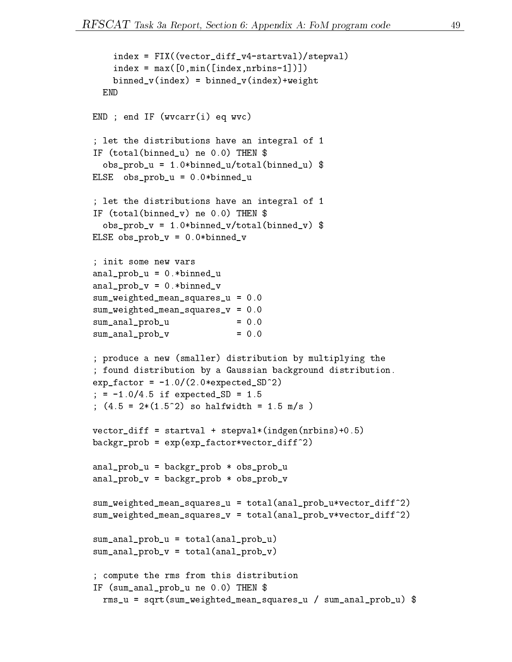```
index = FIX((vector_diff_v4-startval)/stepval)
     index = max([0,min([index,nrbins-1])])
     bindex binned_v(index) = binned_v(index)+weighters = binned_v(index)+weighters = binned_v(index)+weighters = b
  ENDEND ; end IF (wvcarr(i) eq wvc)
\mathbf{u} is the distribution of \mathbf{u} integrals and \mathbf{u} of \mathbf{u} is the \mathbf{u}If \left( is a constant of \left( \begin{array}{ccc} 0 & 0 & 0 \\ 0 & 0 & 0 \\ 0 & 0 & 0 \end{array} \right) , where \left( is a constant \left( is a constant \left( is a constant \left( is a constant \left( is a constant \left( is a constant \left( is a constant 
  obs_prob_u = 1.0*binned_u/total(binned_u) $
ELSE obs_prob_u = 0.0*binned_u
; let the distribution of \mathbb{R}^n and \mathbb{R}^n and \mathbb{R}^n and \mathbb{R}^n and \mathbb{R}^nIF (total(binned_v) ne 0.0) THEN $
  obs_prob_v = 1.0*binned_v/total(binned_v) $
ELSE obs_prob_v = 0.0*binned_v
; in some new variable new variable new variable \sim\rho = 0.5 and \rho = 0.5 and \rho = 0.5 and \rho = 0.5 and \rho = 0.5 and \rho = 0.5and p = 0.5 . The v = 0.5 is the contract of v = 0.5sum \sim - \sim 0.000 means \sim 0.000 means \sim 0.000 means \simsum_weighted_mean_squares_v = 0.00
sum_anal_prob_u= 0.0sum_anal_prob_v= 0.0; produce a new (smaller) distribution by multiplying the
; found distribution by a Gaussian background distribution.
exp_factor = -1.000 = -1.000 = -1.000 = -1.000 = -1.000 = -1.000 = -1.000 = -1.000 = -1
; = -1.0/4.5 if expected_SD = 1.5
; (4.5 = 2.5 m/s = 2.5 m/s ) so \mathbb{R}^n so \mathbb{R}^nvector_diff = startval + stepval*(indgen(nrbins)+0.5)
backgroups are expected and \alpha is the expectator of \alphaanal_prob_u = backgr_prob * obs_prob_u
anal_prob_v = backgr_prob * obs_prob_v
sum weighted means against u . To the (analysis p is u vector different \ellsum weighted means a quare and \sim to the \sim to \sim to tallet \simsum analyze p = t is to an allowing the probability p = t , where p = tsum_anal_proba_v = total(analysis) = to \sim; compute the rms from this distribution
IF (sum_anal_prob_u ne 0.0) THEN $
```
rms u sqrt(sum usiqueven means of weight  $\sim$  weighted  $\sim$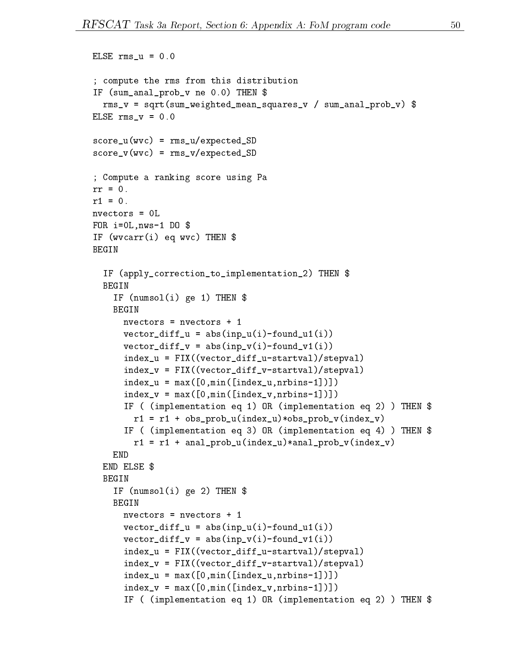```
ELSE rms_u = 0.0
; compute the rms from this distribution that \alpha\blacksquarerms v is squared weighted means the squares v of v is the sum v of v is the sum v \rightarrowELSE rms_v = 0.0
score_u(wvc) = rms_u/expected_SD
score_v(wvc) = rms_v/expected_SD
\mathbf{r} . Compute a ranking score using Paper and \mathbf{r}r1 = 0.
- -- 0.000 - 0.000 - 0.000 - 0.000 - 0.000 - 0.000 - 0.000 - 0.000 - 0.000 - 0.000 - 0.000 - 0.000 - 0.000 - 0.000 - 0.000 - 0.000 - 0.000 - 0.000 - 0.000 - 0.000 - 0.000 - 0.000 FOR i=0L,nws-1 DO $
IF (wvcarr(i) eq wvc) THEN $
BEGINIf (we return to the correction \alpha is the correction \alpha then \alphaBEGIN\blacksquare . The set of \blacksquare is the \blacksquare is the set of \blacksquareBEGIN
        vector <u>in absolute</u> and including \alpha and \alpha in \alphavector_diff_v = abs(inp_v(i)-found_v1(i))
        index and \sim FIX((vector difference in the start value \mu , we have \muindex \sim Fix((vector will be valid view \sim vector \simindex is an analyzed \mu and \mu and \mu and \mu and \mu and \mu and \mu and \muindex_v = max([0,min([index_v,nrbins-1])])
        IF ( (implementation eq 1) OR (implementation eq 2) ) THEN $
           r1 = r1 + obs_prob_u(index_u)*obs_prob_v(index_v)
        If \mathcal{L} (in produce the support of \mathcal{L} ) is the support of \mathcal{L} , \mathcal{L} , \mathcal{L} , \mathcal{L} , \mathcal{L} , \mathcal{L} , \mathcal{L} , \mathcal{L} , \mathcal{L} , \mathcal{L} , \mathcal{L} , \mathcal{L} , \mathcal{L} , \mathcal{L} ,
           rate rate \alpha , and \alpha index \alpha and \alpha index \alpha index \alpha index \alpha in \alphaENDEND ELSE $
  BEGINIF (numsol(i) ge 2) THEN $
     BEGIN
        vector_diff_u = abs(inp_u(i)-found_u1(i))
        \cdots and \cdots absolute \cdots absolute \cdots absolute \cdotsindex_u = FIX((vector_diff_u-startval)/stepval)
        index_v = FIX((vector_diff_v-startval)/stepval)
        index with a maximum \mathcal{L} , minimum \mathcal{L} , in the value of the set of \mathcal{L} , \mathcal{L}index_v = max([0,min([index_v,nrbins-1])])
        If \mathcal{L} (implementation equal \mathcal{L} ) or (implementation equal \mathcal{L} ) then \mathcal{L}
```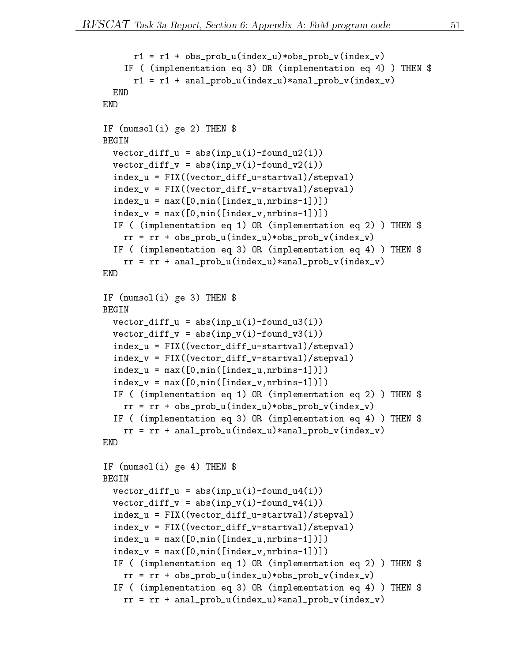```
r1 = r1 + obs_prob_v(======= y + o - _prob_v(====== y
       If \mathcal{L} (in produce the support of \mathcal{L} ) is the support of \mathcal{L} , \mathcal{L} , \mathcal{L} , \mathcal{L} , \mathcal{L} , \mathcal{L} , \mathcal{L} , \mathcal{L} , \mathcal{L} , \mathcal{L} , \mathcal{L} , \mathcal{L} , \mathcal{L} , \mathcal{L} ,
          r1 = r1 + and probably the range \rho index \sigmaENDIf \sum_{i=1}^n x_i = 1 and \sum_{i=1}^n x_i = 1 and \sum_{i=1}^n x_i = 1\alpha and \alpha absolute \alpha absolute \alpha absolute \alpha absolute \alphavector_diff_v = abs(inp_v(i)-found_v2(i))
    index a fixed for \alpha = 1 and \alpha = 1 , \alpha = 1 , \alpha = 1 , \alpha = 1index_v = FIX((vector_diff_v-startval)/stepval)
    index in the case \alpha (index \alpha ) in the case \alpha - \alpha in the case \alpha - \alpha ) is a set of \alphaindex_v = max([0,min([index_v,nrbins-1])])
    IF ( (implementation eq 1) OR (implementation eq 2) ) THEN $
       rr = rr + obs_prob_u(index_u)*obs_prob_v(index_v)
    If \mathcal{L} (in produce the support of \mathcal{L} ) is the support of \mathcal{L} , \mathcal{L} , \mathcal{L} , \mathcal{L} , \mathcal{L} , \mathcal{L} , \mathcal{L} , \mathcal{L} , \mathcal{L} , \mathcal{L} , \mathcal{L} , \mathcal{L} , \mathcal{L} , \mathcal{L} ,
       re the rest of \alpha index \alpha , and \alpha in the probability of \alpha\blacksquare . The set \blacksquare is a set \blacksquare . Then \blacksquareBEGINvector_diff_u = abs(inp_u(i)-found_u3(i))
    \alpha and \alpha absolute \alpha absolute \alpha absolute \alpha absolute \alphaindex a fixed for \alpha = 1 and \alpha = 1 , \alpha = 1 , \alpha = 1 , \alpha = 1index_v = FIX((vector_diff_v-startval)/stepval)
    index with a maximum \langle ( \sigma ) and \sigma ( in the view \sigma is the contract of \sigma ) \sigmaindex \sim max([0,1])]]) and \sim (index \sim 1]) and \sim 1]) and 1] and 1] (iii) and 1] (iii) and 1] (iii) and 1] (iii) and 1] (iii) and 1] (iii) and 1] (iii) and 1] (iii) and 1] (iii) and 1] (iii) and 1] (iii) and 1] (
    IF ( (implementation eq 1) OR (implementation eq 2) ) THEN $
       rr = rr + obs_prob_v(index_v) *or_prob_v(index_v)
    If \mathcal{L} (in produce the support of \mathcal{L} ) is the support of \mathcal{L} , \mathcal{L} , \mathcal{L} , \mathcal{L} , \mathcal{L} , \mathcal{L} , \mathcal{L} , \mathcal{L} , \mathcal{L} , \mathcal{L} , \mathcal{L} , \mathcal{L} , \mathcal{L} , \mathcal{L} ,
       rr = rr + anal_prob_u(index_u)*anal_prob_v(index_v)
ENDIf the set of the \mathbf{y} = \mathbf{y} and \mathbf{y} = \mathbf{y} then \mathbf{y} = \mathbf{y}BEGIN\cdots and \cdots absolute \cdots absolute \cdots absolute \cdotsvector_diff_v = abs(inp_v(i)-found_v4(i))
    index_u = FIX((vector_diff_u-startval)/stepval)
    index \sim Fix((vector_different vector_different)
    index and index \alpha , and \alpha , and \alpha is the \alpha -form \alpha and \alpha is the \alphaindex \sim max([0,1])]]) and \sim (index \sim 1]) and \sim 1]) and 1] and 1] (iii) and 1] (iii) and 1] (iii) and 1] (iii) and 1] (iii) and 1] (iii) and 1] (iii) and 1] (iii) and 1] (iii) and 1] (iii) and 1] (iii) and 1] (
    IF ( (implementation eq 1) OR (implementation eq 2) ) THEN $
       rr = vvo prob_u(index_v) vvo prob_v(index-v)
    IF ( (implementation eq 3) OR (implementation eq 4) ) THEN $
       rr = rr + anal_prob_u(index_u)*anal_prob_v(index_v)
```